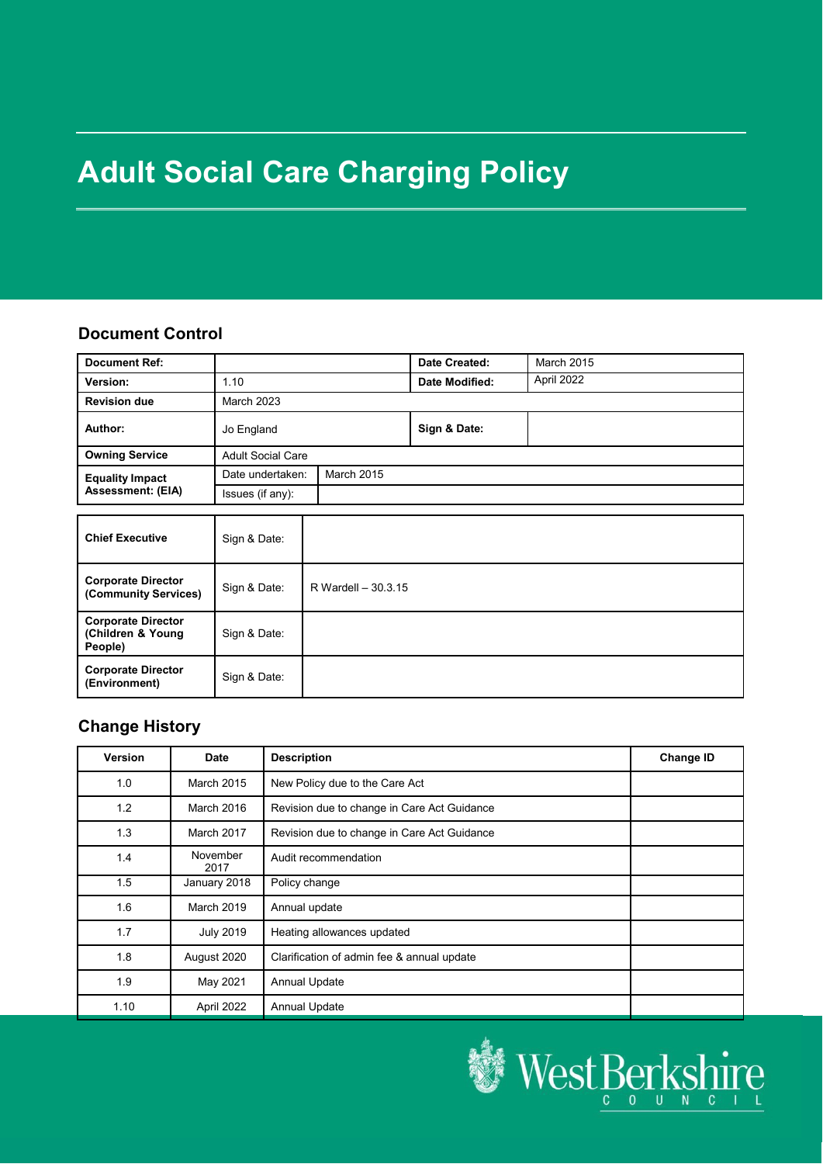# **Adult Social Care Charging Policy**

#### **Document Control**

| <b>Document Ref:</b>                               |                          |                   | Date Created:  | March 2015 |
|----------------------------------------------------|--------------------------|-------------------|----------------|------------|
| Version:                                           | 1.10                     |                   | Date Modified: | April 2022 |
| <b>Revision due</b>                                | <b>March 2023</b>        |                   |                |            |
| Author:                                            | Jo England               |                   | Sign & Date:   |            |
| <b>Owning Service</b>                              | <b>Adult Social Care</b> |                   |                |            |
| <b>Equality Impact</b><br><b>Assessment: (EIA)</b> | Date undertaken:         | <b>March 2015</b> |                |            |
|                                                    | Issues (if any):         |                   |                |            |
|                                                    |                          |                   |                |            |

| <b>Chief Executive</b>                                    | Sign & Date: |                     |
|-----------------------------------------------------------|--------------|---------------------|
| <b>Corporate Director</b><br>(Community Services)         | Sign & Date: | R Wardell - 30.3.15 |
| <b>Corporate Director</b><br>(Children & Young<br>People) | Sign & Date: |                     |
| <b>Corporate Director</b><br>(Environment)                | Sign & Date: |                     |

## **Change History**

| <b>Version</b> | <b>Date</b>       | <b>Description</b>                          | <b>Change ID</b> |
|----------------|-------------------|---------------------------------------------|------------------|
| 1.0            | <b>March 2015</b> | New Policy due to the Care Act              |                  |
| 1.2            | March 2016        | Revision due to change in Care Act Guidance |                  |
| 1.3            | March 2017        | Revision due to change in Care Act Guidance |                  |
| 1.4            | November<br>2017  | Audit recommendation                        |                  |
| 1.5            | January 2018      | Policy change                               |                  |
| 1.6            | <b>March 2019</b> | Annual update                               |                  |
| 1.7            | <b>July 2019</b>  | Heating allowances updated                  |                  |
| 1.8            | August 2020       | Clarification of admin fee & annual update  |                  |
| 1.9            | May 2021          | <b>Annual Update</b>                        |                  |
| 1.10           | April 2022        | <b>Annual Update</b>                        |                  |

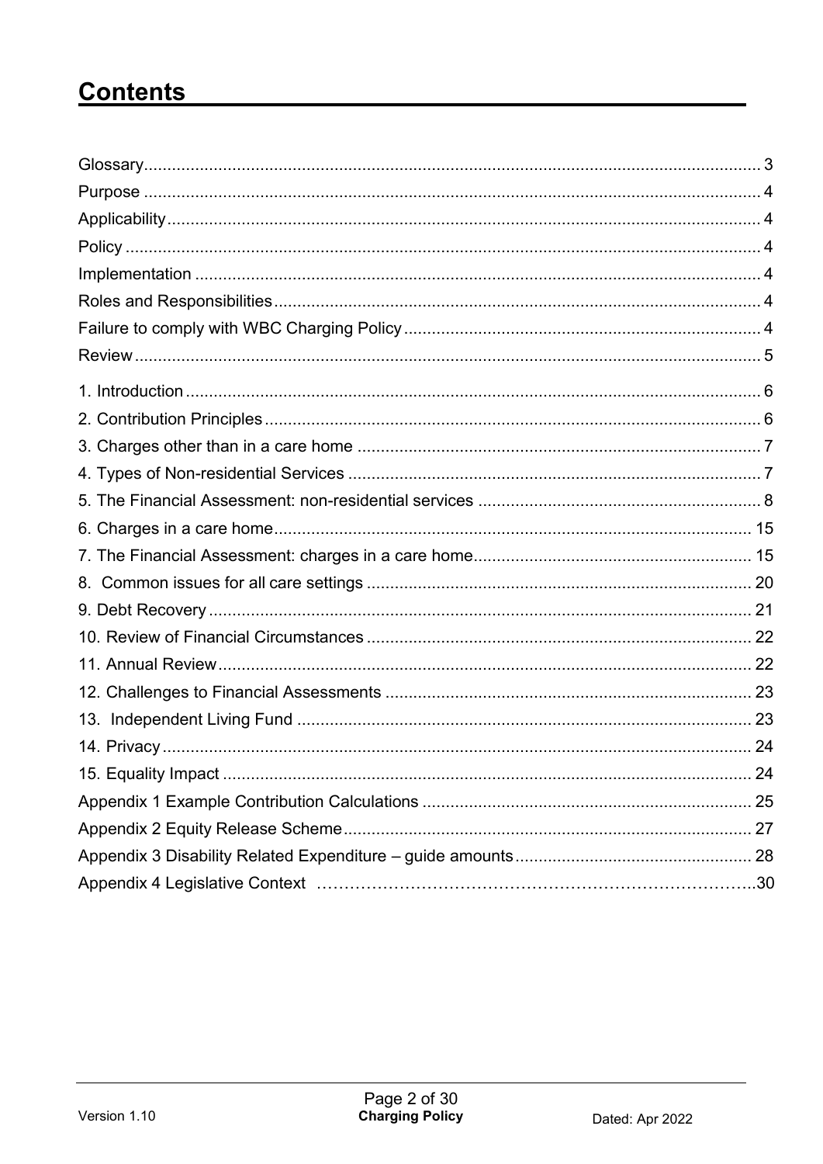# **Contents**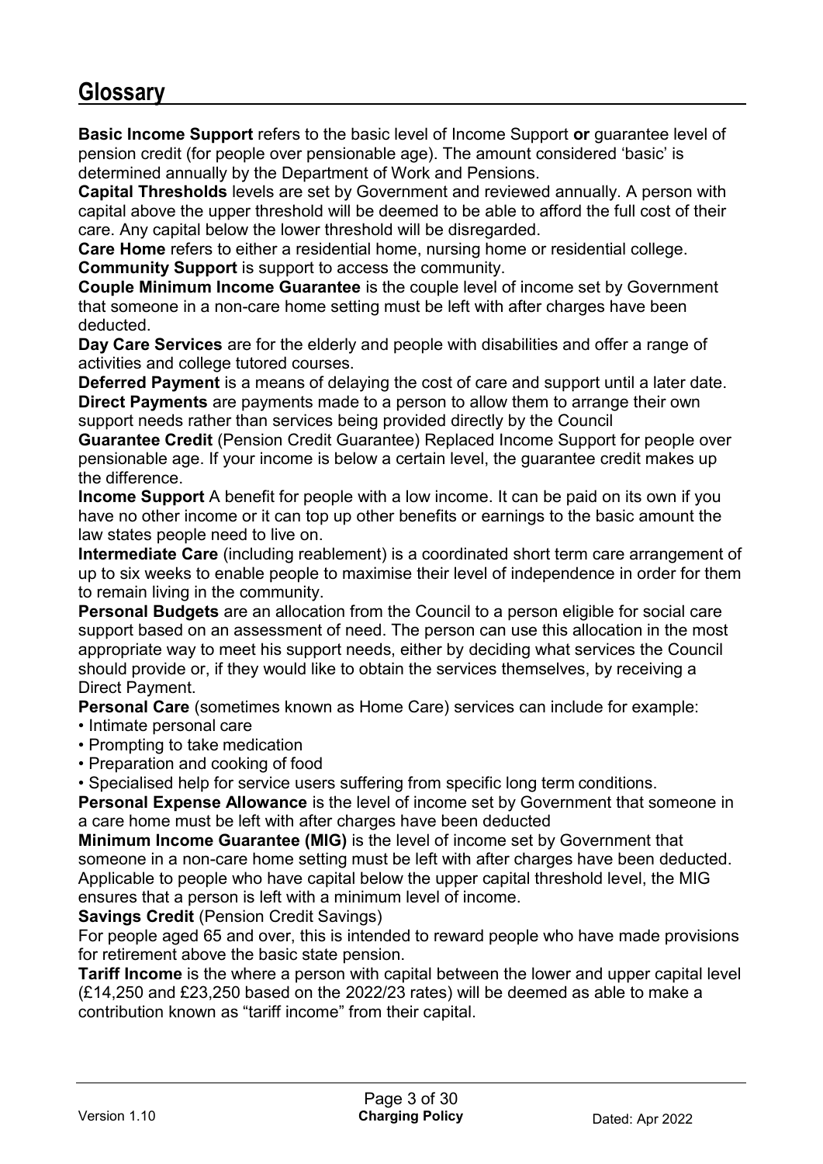## **Glossary**

**Basic Income Support** refers to the basic level of Income Support **or** guarantee level of pension credit (for people over pensionable age). The amount considered 'basic' is determined annually by the Department of Work and Pensions.

**Capital Thresholds** levels are set by Government and reviewed annually. A person with capital above the upper threshold will be deemed to be able to afford the full cost of their care. Any capital below the lower threshold will be disregarded.

**Care Home** refers to either a residential home, nursing home or residential college. **Community Support** is support to access the community.

**Couple Minimum Income Guarantee** is the couple level of income set by Government that someone in a non-care home setting must be left with after charges have been deducted.

**Day Care Services** are for the elderly and people with disabilities and offer a range of activities and college tutored courses.

**Deferred Payment** is a means of delaying the cost of care and support until a later date. **Direct Payments** are payments made to a person to allow them to arrange their own support needs rather than services being provided directly by the Council

**Guarantee Credit** (Pension Credit Guarantee) Replaced Income Support for people over pensionable age. If your income is below a certain level, the guarantee credit makes up the difference.

**Income Support** A benefit for people with a low income. It can be paid on its own if you have no other income or it can top up other benefits or earnings to the basic amount the law states people need to live on.

**Intermediate Care** (including reablement) is a coordinated short term care arrangement of up to six weeks to enable people to maximise their level of independence in order for them to remain living in the community.

**Personal Budgets** are an allocation from the Council to a person eligible for social care support based on an assessment of need. The person can use this allocation in the most appropriate way to meet his support needs, either by deciding what services the Council should provide or, if they would like to obtain the services themselves, by receiving a Direct Payment.

**Personal Care** (sometimes known as Home Care) services can include for example:

- Intimate personal care
- Prompting to take medication
- Preparation and cooking of food

• Specialised help for service users suffering from specific long term conditions.

**Personal Expense Allowance** is the level of income set by Government that someone in a care home must be left with after charges have been deducted

**Minimum Income Guarantee (MIG)** is the level of income set by Government that someone in a non-care home setting must be left with after charges have been deducted. Applicable to people who have capital below the upper capital threshold level, the MIG ensures that a person is left with a minimum level of income.

#### **Savings Credit** (Pension Credit Savings)

For people aged 65 and over, this is intended to reward people who have made provisions for retirement above the basic state pension.

**Tariff Income** is the where a person with capital between the lower and upper capital level (£14,250 and £23,250 based on the 2022/23 rates) will be deemed as able to make a contribution known as "tariff income" from their capital.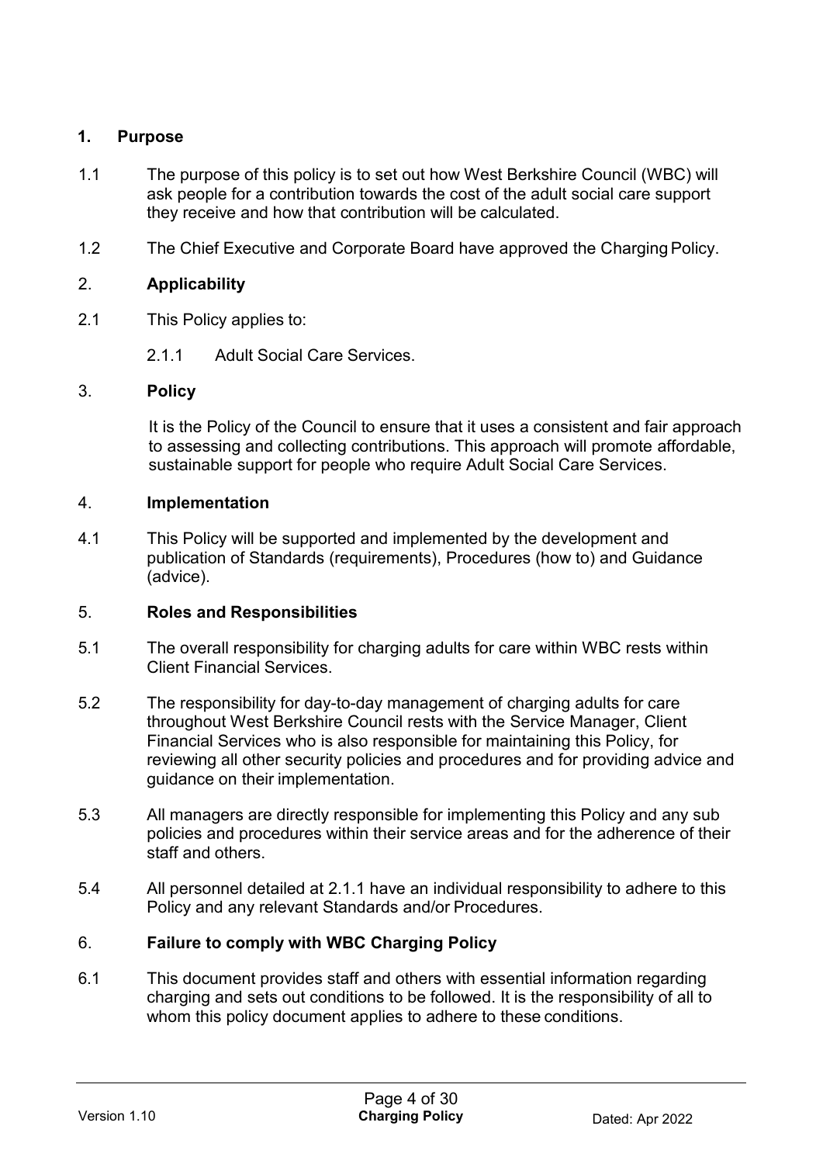#### **1. Purpose**

- 1.1 The purpose of this policy is to set out how West Berkshire Council (WBC) will ask people for a contribution towards the cost of the adult social care support they receive and how that contribution will be calculated.
- 1.2 The Chief Executive and Corporate Board have approved the Charging Policy.

#### 2. **Applicability**

- 2.1 This Policy applies to:
	- 2.1.1 Adult Social Care Services.

#### 3. **Policy**

It is the Policy of the Council to ensure that it uses a consistent and fair approach to assessing and collecting contributions. This approach will promote affordable, sustainable support for people who require Adult Social Care Services.

#### 4. **Implementation**

4.1 This Policy will be supported and implemented by the development and publication of Standards (requirements), Procedures (how to) and Guidance (advice).

#### 5. **Roles and Responsibilities**

- 5.1 The overall responsibility for charging adults for care within WBC rests within Client Financial Services.
- 5.2 The responsibility for day-to-day management of charging adults for care throughout West Berkshire Council rests with the Service Manager, Client Financial Services who is also responsible for maintaining this Policy, for reviewing all other security policies and procedures and for providing advice and guidance on their implementation.
- 5.3 All managers are directly responsible for implementing this Policy and any sub policies and procedures within their service areas and for the adherence of their staff and others.
- 5.4 All personnel detailed at 2.1.1 have an individual responsibility to adhere to this Policy and any relevant Standards and/or Procedures.

#### 6. **Failure to comply with WBC Charging Policy**

6.1 This document provides staff and others with essential information regarding charging and sets out conditions to be followed. It is the responsibility of all to whom this policy document applies to adhere to these conditions.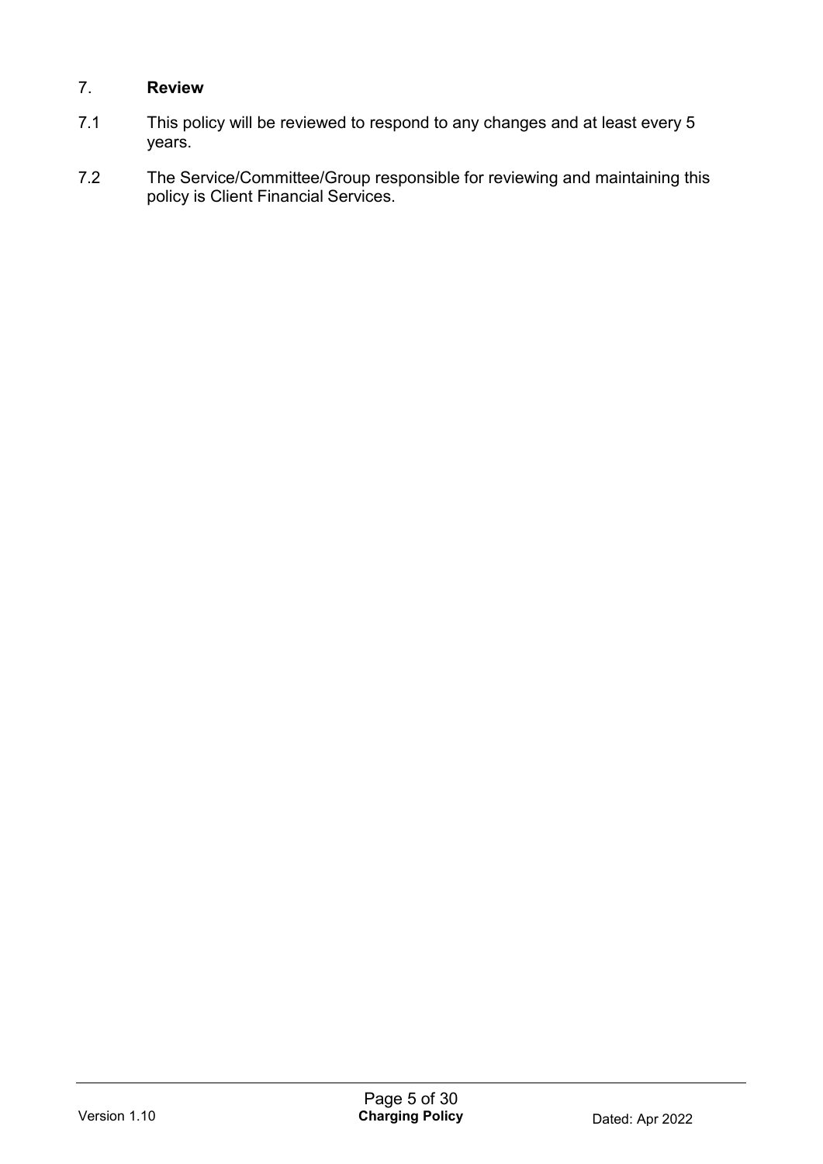#### 7. **Review**

- 7.1 This policy will be reviewed to respond to any changes and at least every 5 years.
- 7.2 The Service/Committee/Group responsible for reviewing and maintaining this policy is Client Financial Services.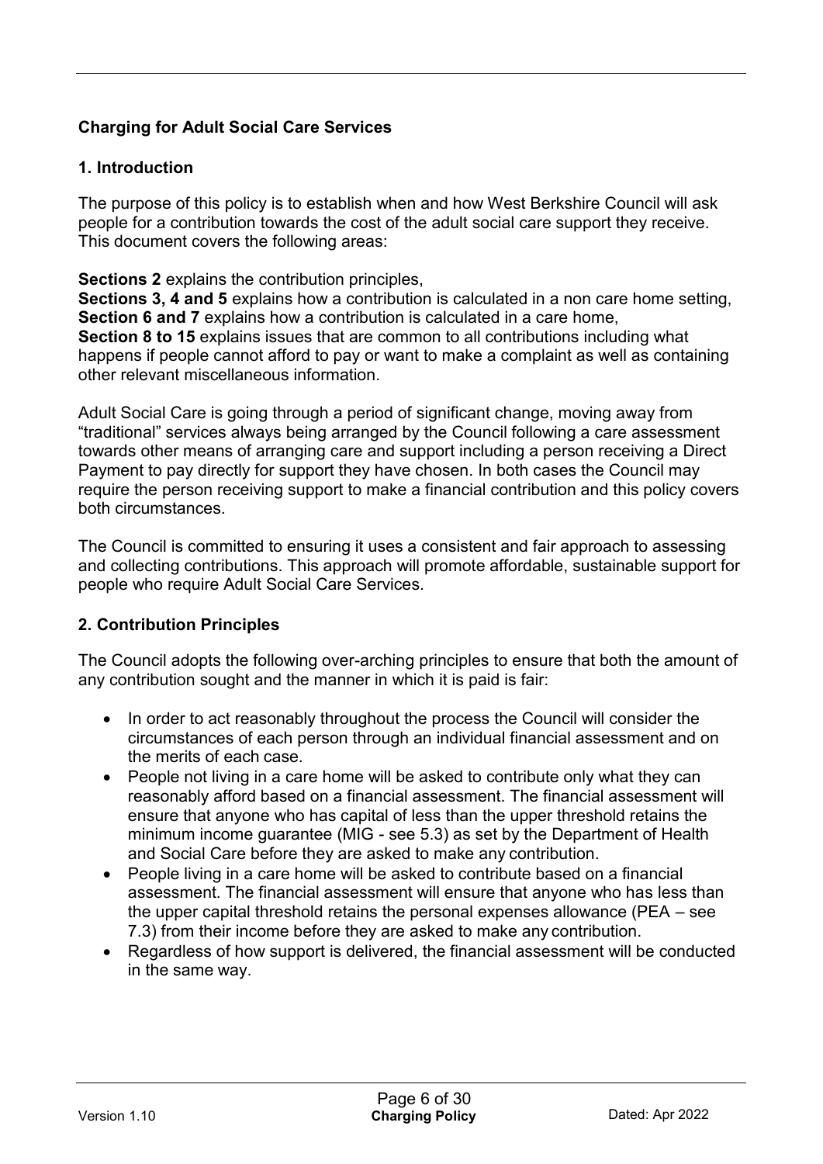## **Charging for Adult Social Care Services**

#### **1. Introduction**

The purpose of this policy is to establish when and how West Berkshire Council will ask people for a contribution towards the cost of the adult social care support they receive. This document covers the following areas:

**Sections 2** explains the contribution principles,

**Sections 3, 4 and 5** explains how a contribution is calculated in a non care home setting, **Section 6 and 7** explains how a contribution is calculated in a care home, **Section 8 to 15** explains issues that are common to all contributions including what happens if people cannot afford to pay or want to make a complaint as well as containing other relevant miscellaneous information.

Adult Social Care is going through a period of significant change, moving away from "traditional" services always being arranged by the Council following a care assessment towards other means of arranging care and support including a person receiving a Direct Payment to pay directly for support they have chosen. In both cases the Council may require the person receiving support to make a financial contribution and this policy covers both circumstances.

The Council is committed to ensuring it uses a consistent and fair approach to assessing and collecting contributions. This approach will promote affordable, sustainable support for people who require Adult Social Care Services.

#### **2. Contribution Principles**

The Council adopts the following over-arching principles to ensure that both the amount of any contribution sought and the manner in which it is paid is fair:

- In order to act reasonably throughout the process the Council will consider the circumstances of each person through an individual financial assessment and on the merits of each case.
- People not living in a care home will be asked to contribute only what they can reasonably afford based on a financial assessment. The financial assessment will ensure that anyone who has capital of less than the upper threshold retains the minimum income guarantee (MIG - see 5.3) as set by the Department of Health and Social Care before they are asked to make any contribution.
- People living in a care home will be asked to contribute based on a financial assessment. The financial assessment will ensure that anyone who has less than the upper capital threshold retains the personal expenses allowance (PEA – see 7.3) from their income before they are asked to make any contribution.
- Regardless of how support is delivered, the financial assessment will be conducted in the same way.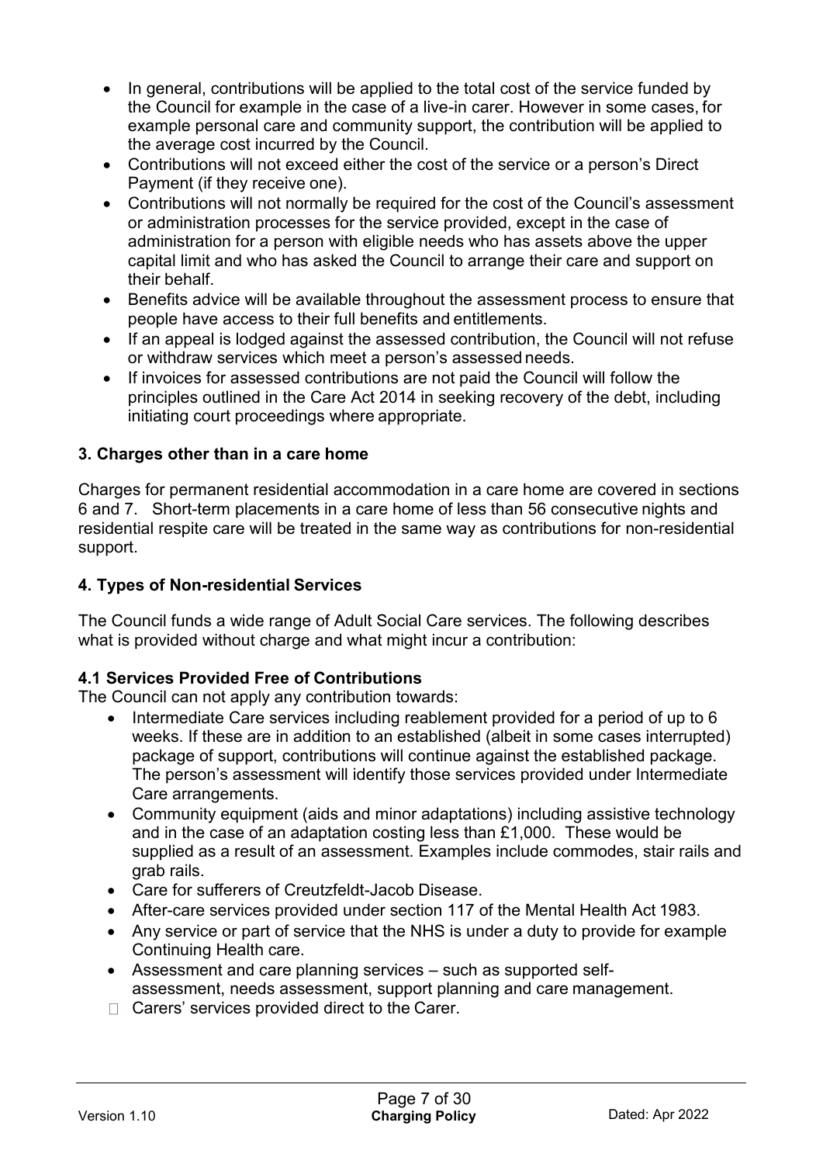- In general, contributions will be applied to the total cost of the service funded by the Council for example in the case of a live-in carer. However in some cases, for example personal care and community support, the contribution will be applied to the average cost incurred by the Council.
- Contributions will not exceed either the cost of the service or a person's Direct Payment (if they receive one).
- Contributions will not normally be required for the cost of the Council's assessment or administration processes for the service provided, except in the case of administration for a person with eligible needs who has assets above the upper capital limit and who has asked the Council to arrange their care and support on their behalf.
- Benefits advice will be available throughout the assessment process to ensure that people have access to their full benefits and entitlements.
- If an appeal is lodged against the assessed contribution, the Council will not refuse or withdraw services which meet a person's assessed needs.
- If invoices for assessed contributions are not paid the Council will follow the principles outlined in the Care Act 2014 in seeking recovery of the debt, including initiating court proceedings where appropriate.

#### **3. Charges other than in a care home**

Charges for permanent residential accommodation in a care home are covered in sections 6 and 7. Short-term placements in a care home of less than 56 consecutive nights and residential respite care will be treated in the same way as contributions for non-residential support.

#### **4. Types of Non-residential Services**

The Council funds a wide range of Adult Social Care services. The following describes what is provided without charge and what might incur a contribution:

#### **4.1 Services Provided Free of Contributions**

The Council can not apply any contribution towards:

- Intermediate Care services including reablement provided for a period of up to 6 weeks. If these are in addition to an established (albeit in some cases interrupted) package of support, contributions will continue against the established package. The person's assessment will identify those services provided under Intermediate Care arrangements.
- Community equipment (aids and minor adaptations) including assistive technology and in the case of an adaptation costing less than £1,000. These would be supplied as a result of an assessment. Examples include commodes, stair rails and grab rails.
- Care for sufferers of Creutzfeldt-Jacob Disease.
- After-care services provided under section 117 of the Mental Health Act 1983.
- Any service or part of service that the NHS is under a duty to provide for example Continuing Health care.
- Assessment and care planning services such as supported selfassessment, needs assessment, support planning and care management.
- $\Box$  Carers' services provided direct to the Carer.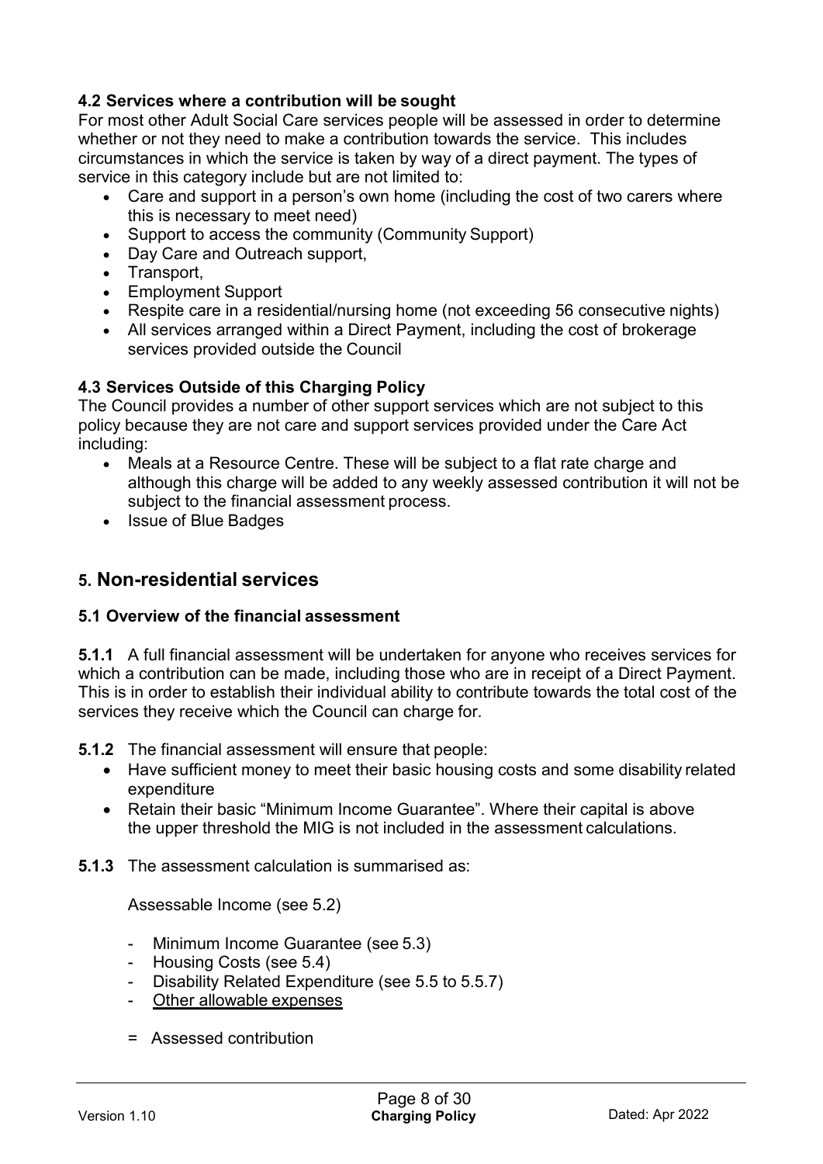## **4.2 Services where a contribution will be sought**

For most other Adult Social Care services people will be assessed in order to determine whether or not they need to make a contribution towards the service. This includes circumstances in which the service is taken by way of a direct payment. The types of service in this category include but are not limited to:

- Care and support in a person's own home (including the cost of two carers where this is necessary to meet need)
- Support to access the community (Community Support)
- Day Care and Outreach support.
- Transport.
- Employment Support
- Respite care in a residential/nursing home (not exceeding 56 consecutive nights)
- All services arranged within a Direct Payment, including the cost of brokerage services provided outside the Council

#### **4.3 Services Outside of this Charging Policy**

The Council provides a number of other support services which are not subject to this policy because they are not care and support services provided under the Care Act including:

- Meals at a Resource Centre. These will be subject to a flat rate charge and although this charge will be added to any weekly assessed contribution it will not be subject to the financial assessment process.
- Issue of Blue Badges

## **5. Non-residential services**

#### **5.1 Overview of the financial assessment**

**5.1.1** A full financial assessment will be undertaken for anyone who receives services for which a contribution can be made, including those who are in receipt of a Direct Payment. This is in order to establish their individual ability to contribute towards the total cost of the services they receive which the Council can charge for.

**5.1.2** The financial assessment will ensure that people:

- Have sufficient money to meet their basic housing costs and some disability related expenditure
- Retain their basic "Minimum Income Guarantee". Where their capital is above the upper threshold the MIG is not included in the assessment calculations.

**5.1.3** The assessment calculation is summarised as:

Assessable Income (see 5.2)

- Minimum Income Guarantee (see 5.3)
- Housing Costs (see 5.4)
- Disability Related Expenditure (see 5.5 to 5.5.7)
- Other allowable expenses
- = Assessed contribution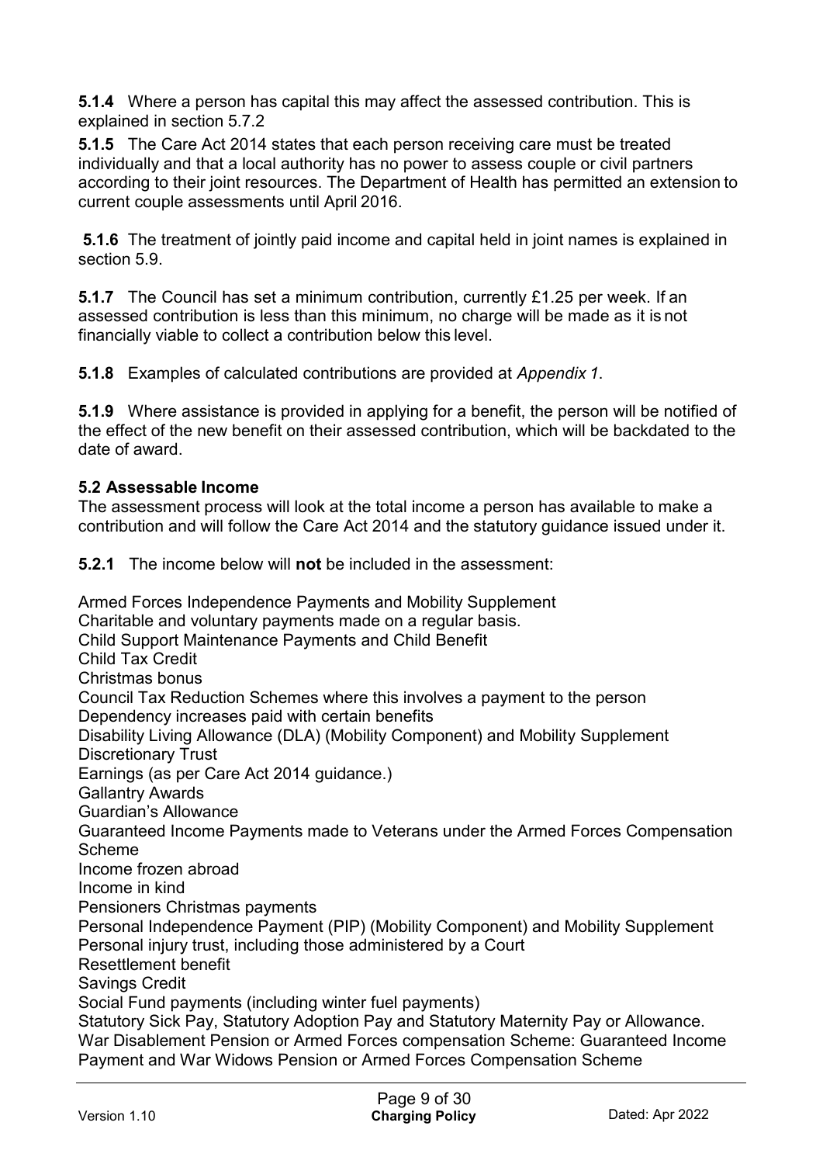**5.1.4** Where a person has capital this may affect the assessed contribution. This is explained in section 5.7.2

**5.1.5** The Care Act 2014 states that each person receiving care must be treated individually and that a local authority has no power to assess couple or civil partners according to their joint resources. The Department of Health has permitted an extension to current couple assessments until April 2016.

**5.1.6** The treatment of jointly paid income and capital held in joint names is explained in section 5.9.

**5.1.7** The Council has set a minimum contribution, currently £1.25 per week. If an assessed contribution is less than this minimum, no charge will be made as it is not financially viable to collect a contribution below this level.

**5.1.8** Examples of calculated contributions are provided at *Appendix 1*.

**5.1.9** Where assistance is provided in applying for a benefit, the person will be notified of the effect of the new benefit on their assessed contribution, which will be backdated to the date of award.

#### **5.2 Assessable Income**

The assessment process will look at the total income a person has available to make a contribution and will follow the Care Act 2014 and the statutory guidance issued under it.

**5.2.1** The income below will **not** be included in the assessment:

Armed Forces Independence Payments and Mobility Supplement Charitable and voluntary payments made on a regular basis. Child Support Maintenance Payments and Child Benefit Child Tax Credit Christmas bonus Council Tax Reduction Schemes where this involves a payment to the person Dependency increases paid with certain benefits Disability Living Allowance (DLA) (Mobility Component) and Mobility Supplement Discretionary Trust Earnings (as per Care Act 2014 guidance.) Gallantry Awards Guardian's Allowance Guaranteed Income Payments made to Veterans under the Armed Forces Compensation Scheme Income frozen abroad Income in kind Pensioners Christmas payments Personal Independence Payment (PIP) (Mobility Component) and Mobility Supplement Personal injury trust, including those administered by a Court Resettlement benefit Savings Credit Social Fund payments (including winter fuel payments) Statutory Sick Pay, Statutory Adoption Pay and Statutory Maternity Pay or Allowance. War Disablement Pension or Armed Forces compensation Scheme: Guaranteed Income Payment and War Widows Pension or Armed Forces Compensation Scheme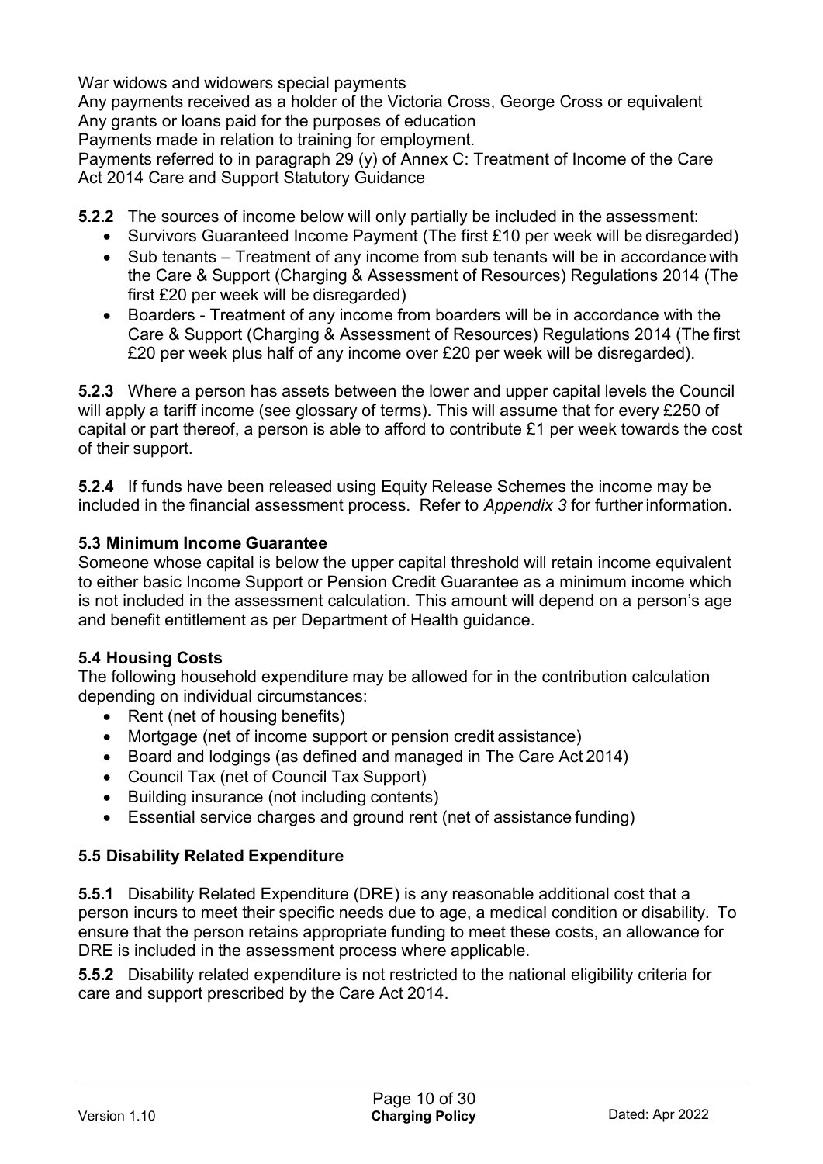War widows and widowers special payments

Any payments received as a holder of the Victoria Cross, George Cross or equivalent Any grants or loans paid for the purposes of education

Payments made in relation to training for employment.

Payments referred to in paragraph 29 (y) of Annex C: Treatment of Income of the Care Act 2014 Care and Support Statutory Guidance

**5.2.2** The sources of income below will only partially be included in the assessment:

- Survivors Guaranteed Income Payment (The first £10 per week will be disregarded)
- Sub tenants Treatment of any income from sub tenants will be in accordance with the Care & Support (Charging & Assessment of Resources) Regulations 2014 (The first £20 per week will be disregarded)
- Boarders Treatment of any income from boarders will be in accordance with the Care & Support (Charging & Assessment of Resources) Regulations 2014 (The first £20 per week plus half of any income over £20 per week will be disregarded).

**5.2.3** Where a person has assets between the lower and upper capital levels the Council will apply a tariff income (see glossary of terms). This will assume that for every £250 of capital or part thereof, a person is able to afford to contribute £1 per week towards the cost of their support.

**5.2.4** If funds have been released using Equity Release Schemes the income may be included in the financial assessment process. Refer to *Appendix 3* for furtherinformation.

#### **5.3 Minimum Income Guarantee**

Someone whose capital is below the upper capital threshold will retain income equivalent to either basic Income Support or Pension Credit Guarantee as a minimum income which is not included in the assessment calculation. This amount will depend on a person's age and benefit entitlement as per Department of Health guidance.

#### **5.4 Housing Costs**

The following household expenditure may be allowed for in the contribution calculation depending on individual circumstances:

- Rent (net of housing benefits)
- Mortgage (net of income support or pension credit assistance)
- Board and lodgings (as defined and managed in The Care Act 2014)
- Council Tax (net of Council Tax Support)
- Building insurance (not including contents)
- Essential service charges and ground rent (net of assistance funding)

#### **5.5 Disability Related Expenditure**

**5.5.1** Disability Related Expenditure (DRE) is any reasonable additional cost that a person incurs to meet their specific needs due to age, a medical condition or disability. To ensure that the person retains appropriate funding to meet these costs, an allowance for DRE is included in the assessment process where applicable.

**5.5.2** Disability related expenditure is not restricted to the national eligibility criteria for care and support prescribed by the Care Act 2014.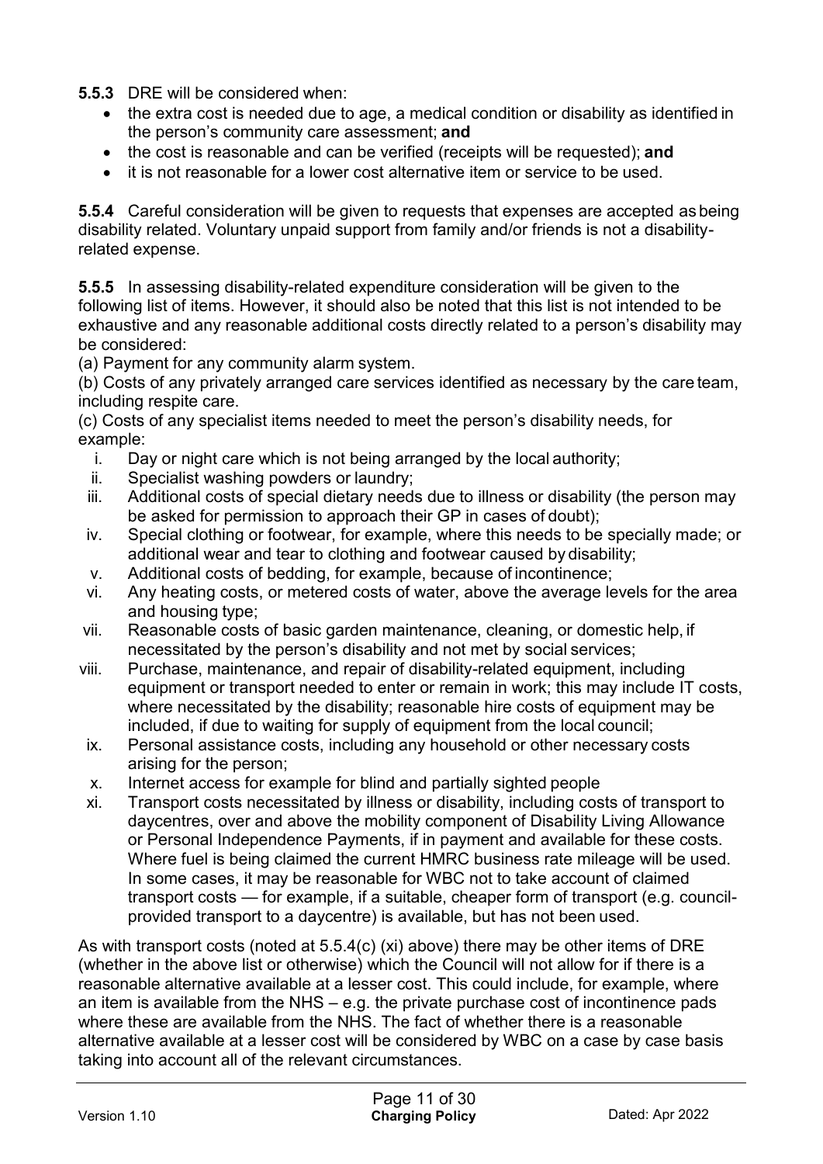**5.5.3** DRE will be considered when:

- the extra cost is needed due to age, a medical condition or disability as identified in the person's community care assessment; **and**
- the cost is reasonable and can be verified (receipts will be requested); **and**
- it is not reasonable for a lower cost alternative item or service to be used.

**5.5.4** Careful consideration will be given to requests that expenses are accepted as being disability related. Voluntary unpaid support from family and/or friends is not a disabilityrelated expense.

**5.5.5** In assessing disability-related expenditure consideration will be given to the following list of items. However, it should also be noted that this list is not intended to be exhaustive and any reasonable additional costs directly related to a person's disability may be considered:

(a) Payment for any community alarm system.

(b) Costs of any privately arranged care services identified as necessary by the care team, including respite care.

(c) Costs of any specialist items needed to meet the person's disability needs, for example:

- i. Day or night care which is not being arranged by the local authority;
- ii. Specialist washing powders or laundry;
- iii. Additional costs of special dietary needs due to illness or disability (the person may be asked for permission to approach their GP in cases of doubt);
- iv. Special clothing or footwear, for example, where this needs to be specially made; or additional wear and tear to clothing and footwear caused by disability;
- v. Additional costs of bedding, for example, because of incontinence;
- vi. Any heating costs, or metered costs of water, above the average levels for the area and housing type;
- vii. Reasonable costs of basic garden maintenance, cleaning, or domestic help, if necessitated by the person's disability and not met by social services;
- viii. Purchase, maintenance, and repair of disability-related equipment, including equipment or transport needed to enter or remain in work; this may include IT costs, where necessitated by the disability; reasonable hire costs of equipment may be included, if due to waiting for supply of equipment from the local council;
- ix. Personal assistance costs, including any household or other necessary costs arising for the person;
- x. Internet access for example for blind and partially sighted people
- xi. Transport costs necessitated by illness or disability, including costs of transport to daycentres, over and above the mobility component of Disability Living Allowance or Personal Independence Payments, if in payment and available for these costs. Where fuel is being claimed the current HMRC business rate mileage will be used. In some cases, it may be reasonable for WBC not to take account of claimed transport costs — for example, if a suitable, cheaper form of transport (e.g. councilprovided transport to a daycentre) is available, but has not been used.

As with transport costs (noted at 5.5.4(c) (xi) above) there may be other items of DRE (whether in the above list or otherwise) which the Council will not allow for if there is a reasonable alternative available at a lesser cost. This could include, for example, where an item is available from the NHS – e.g. the private purchase cost of incontinence pads where these are available from the NHS. The fact of whether there is a reasonable alternative available at a lesser cost will be considered by WBC on a case by case basis taking into account all of the relevant circumstances.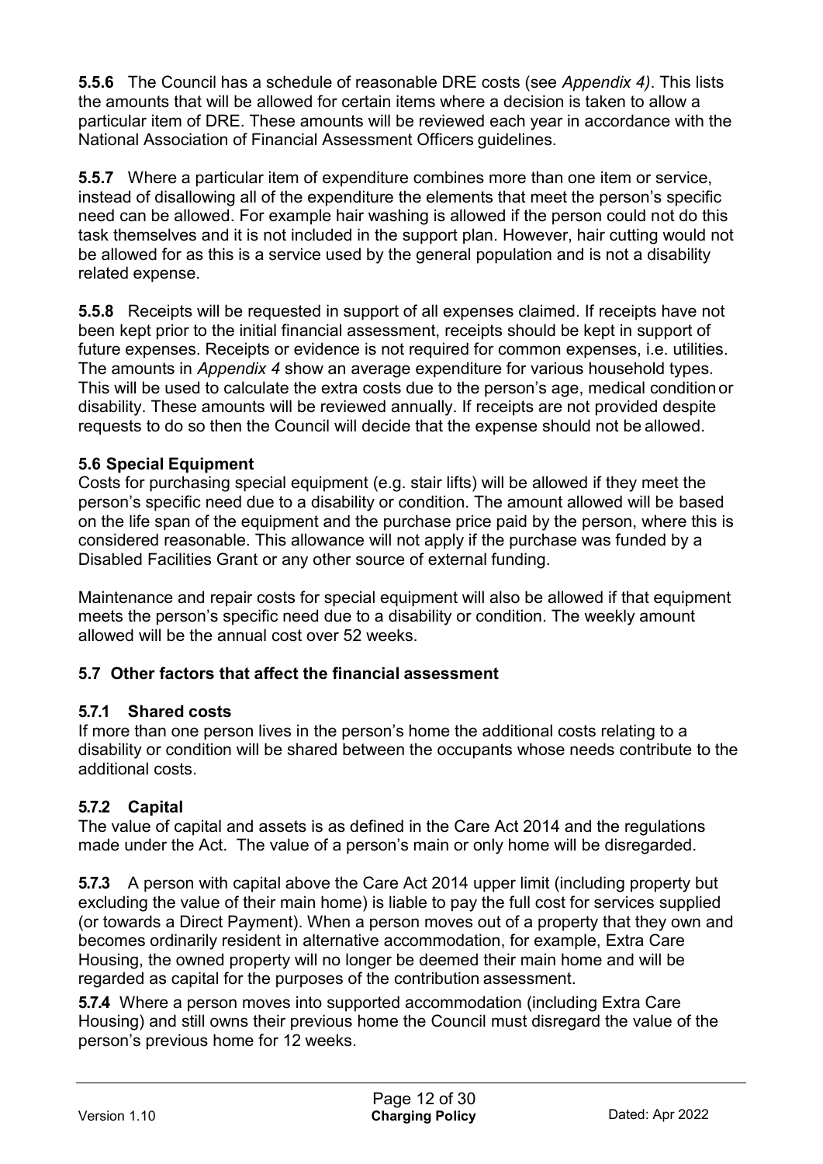**5.5.6** The Council has a schedule of reasonable DRE costs (see *Appendix 4)*. This lists the amounts that will be allowed for certain items where a decision is taken to allow a particular item of DRE. These amounts will be reviewed each year in accordance with the National Association of Financial Assessment Officers guidelines.

**5.5.7** Where a particular item of expenditure combines more than one item or service, instead of disallowing all of the expenditure the elements that meet the person's specific need can be allowed. For example hair washing is allowed if the person could not do this task themselves and it is not included in the support plan. However, hair cutting would not be allowed for as this is a service used by the general population and is not a disability related expense.

**5.5.8** Receipts will be requested in support of all expenses claimed. If receipts have not been kept prior to the initial financial assessment, receipts should be kept in support of future expenses. Receipts or evidence is not required for common expenses, i.e. utilities. The amounts in *Appendix 4* show an average expenditure for various household types. This will be used to calculate the extra costs due to the person's age, medical conditionor disability. These amounts will be reviewed annually. If receipts are not provided despite requests to do so then the Council will decide that the expense should not be allowed.

## **5.6 Special Equipment**

Costs for purchasing special equipment (e.g. stair lifts) will be allowed if they meet the person's specific need due to a disability or condition. The amount allowed will be based on the life span of the equipment and the purchase price paid by the person, where this is considered reasonable. This allowance will not apply if the purchase was funded by a Disabled Facilities Grant or any other source of external funding.

Maintenance and repair costs for special equipment will also be allowed if that equipment meets the person's specific need due to a disability or condition. The weekly amount allowed will be the annual cost over 52 weeks.

## **5.7 Other factors that affect the financial assessment**

#### **5.7.1 Shared costs**

If more than one person lives in the person's home the additional costs relating to a disability or condition will be shared between the occupants whose needs contribute to the additional costs.

#### **5.7.2 Capital**

The value of capital and assets is as defined in the Care Act 2014 and the regulations made under the Act. The value of a person's main or only home will be disregarded.

**5.7.3** A person with capital above the Care Act 2014 upper limit (including property but excluding the value of their main home) is liable to pay the full cost for services supplied (or towards a Direct Payment). When a person moves out of a property that they own and becomes ordinarily resident in alternative accommodation, for example, Extra Care Housing, the owned property will no longer be deemed their main home and will be regarded as capital for the purposes of the contribution assessment.

**5.7.4** Where a person moves into supported accommodation (including Extra Care Housing) and still owns their previous home the Council must disregard the value of the person's previous home for 12 weeks.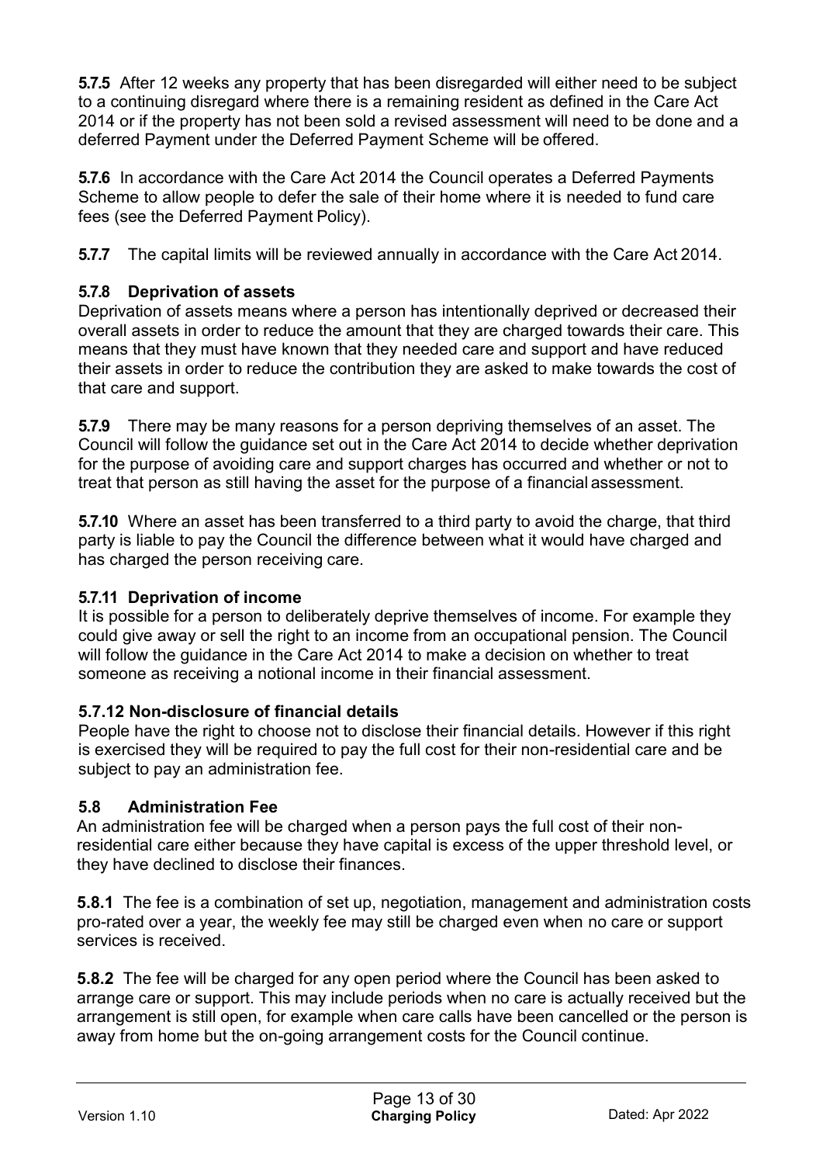**5.7.5** After 12 weeks any property that has been disregarded will either need to be subject to a continuing disregard where there is a remaining resident as defined in the Care Act 2014 or if the property has not been sold a revised assessment will need to be done and a deferred Payment under the Deferred Payment Scheme will be offered.

**5.7.6** In accordance with the Care Act 2014 the Council operates a Deferred Payments Scheme to allow people to defer the sale of their home where it is needed to fund care fees (see the Deferred Payment Policy).

**5.7.7** The capital limits will be reviewed annually in accordance with the Care Act 2014.

## **5.7.8 Deprivation of assets**

Deprivation of assets means where a person has intentionally deprived or decreased their overall assets in order to reduce the amount that they are charged towards their care. This means that they must have known that they needed care and support and have reduced their assets in order to reduce the contribution they are asked to make towards the cost of that care and support.

**5.7.9** There may be many reasons for a person depriving themselves of an asset. The Council will follow the guidance set out in the Care Act 2014 to decide whether deprivation for the purpose of avoiding care and support charges has occurred and whether or not to treat that person as still having the asset for the purpose of a financial assessment.

**5.7.10** Where an asset has been transferred to a third party to avoid the charge, that third party is liable to pay the Council the difference between what it would have charged and has charged the person receiving care.

## **5.7.11 Deprivation of income**

It is possible for a person to deliberately deprive themselves of income. For example they could give away or sell the right to an income from an occupational pension. The Council will follow the guidance in the Care Act 2014 to make a decision on whether to treat someone as receiving a notional income in their financial assessment.

## **5.7.12 Non-disclosure of financial details**

People have the right to choose not to disclose their financial details. However if this right is exercised they will be required to pay the full cost for their non-residential care and be subject to pay an administration fee.

## **5.8 Administration Fee**

An administration fee will be charged when a person pays the full cost of their nonresidential care either because they have capital is excess of the upper threshold level, or they have declined to disclose their finances.

**5.8.1** The fee is a combination of set up, negotiation, management and administration costs pro-rated over a year, the weekly fee may still be charged even when no care or support services is received.

**5.8.2** The fee will be charged for any open period where the Council has been asked to arrange care or support. This may include periods when no care is actually received but the arrangement is still open, for example when care calls have been cancelled or the person is away from home but the on-going arrangement costs for the Council continue.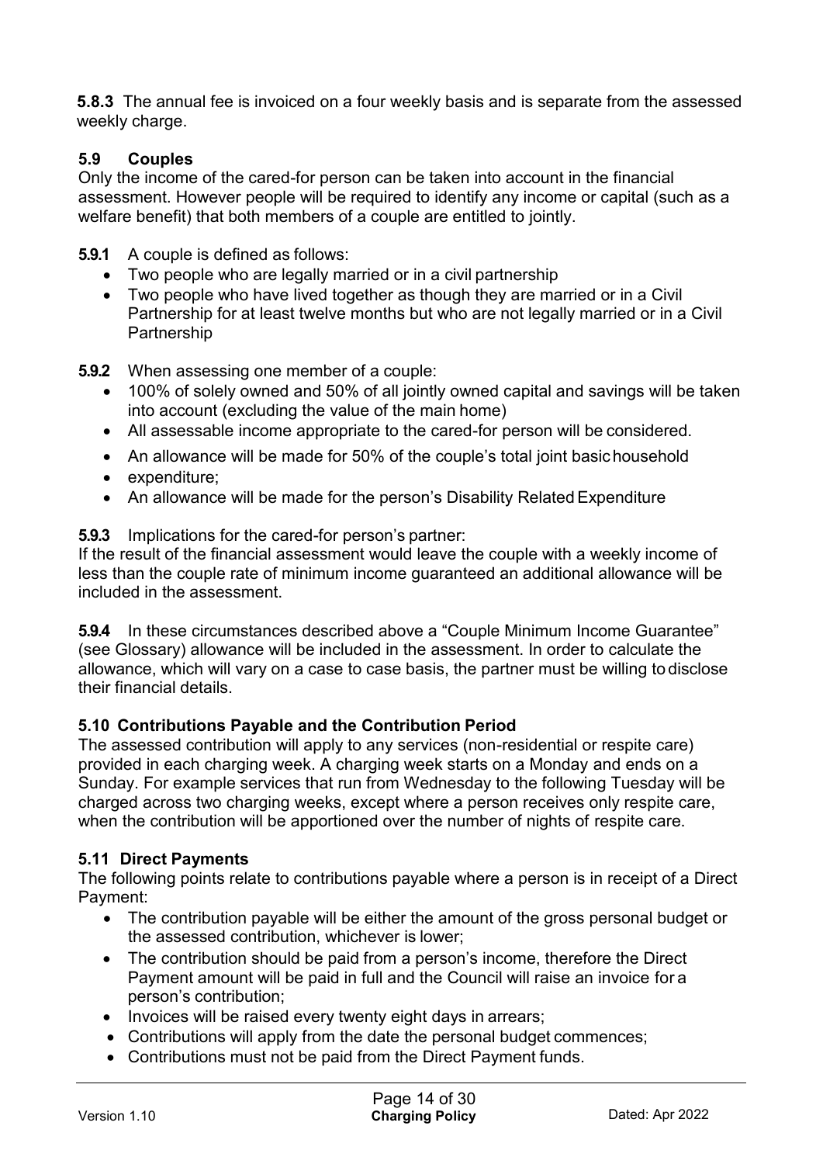**5.8.3** The annual fee is invoiced on a four weekly basis and is separate from the assessed weekly charge.

## **5.9 Couples**

Only the income of the cared-for person can be taken into account in the financial assessment. However people will be required to identify any income or capital (such as a welfare benefit) that both members of a couple are entitled to jointly.

#### **5.9.1** A couple is defined as follows:

- Two people who are legally married or in a civil partnership
- Two people who have lived together as though they are married or in a Civil Partnership for at least twelve months but who are not legally married or in a Civil Partnership

#### **5.9.2** When assessing one member of a couple:

- 100% of solely owned and 50% of all jointly owned capital and savings will be taken into account (excluding the value of the main home)
- All assessable income appropriate to the cared-for person will be considered.
- An allowance will be made for 50% of the couple's total joint basic household
- expenditure;
- An allowance will be made for the person's Disability Related Expenditure

#### **5.9.3** Implications for the cared-for person's partner:

If the result of the financial assessment would leave the couple with a weekly income of less than the couple rate of minimum income guaranteed an additional allowance will be included in the assessment.

**5.9.4** In these circumstances described above a "Couple Minimum Income Guarantee" (see Glossary) allowance will be included in the assessment. In order to calculate the allowance, which will vary on a case to case basis, the partner must be willing to disclose their financial details.

#### **5.10 Contributions Payable and the Contribution Period**

The assessed contribution will apply to any services (non-residential or respite care) provided in each charging week. A charging week starts on a Monday and ends on a Sunday. For example services that run from Wednesday to the following Tuesday will be charged across two charging weeks, except where a person receives only respite care, when the contribution will be apportioned over the number of nights of respite care.

#### **5.11 Direct Payments**

The following points relate to contributions payable where a person is in receipt of a Direct Payment:

- The contribution payable will be either the amount of the gross personal budget or the assessed contribution, whichever is lower;
- The contribution should be paid from a person's income, therefore the Direct Payment amount will be paid in full and the Council will raise an invoice for a person's contribution;
- Invoices will be raised every twenty eight days in arrears;
- Contributions will apply from the date the personal budget commences;
- Contributions must not be paid from the Direct Payment funds.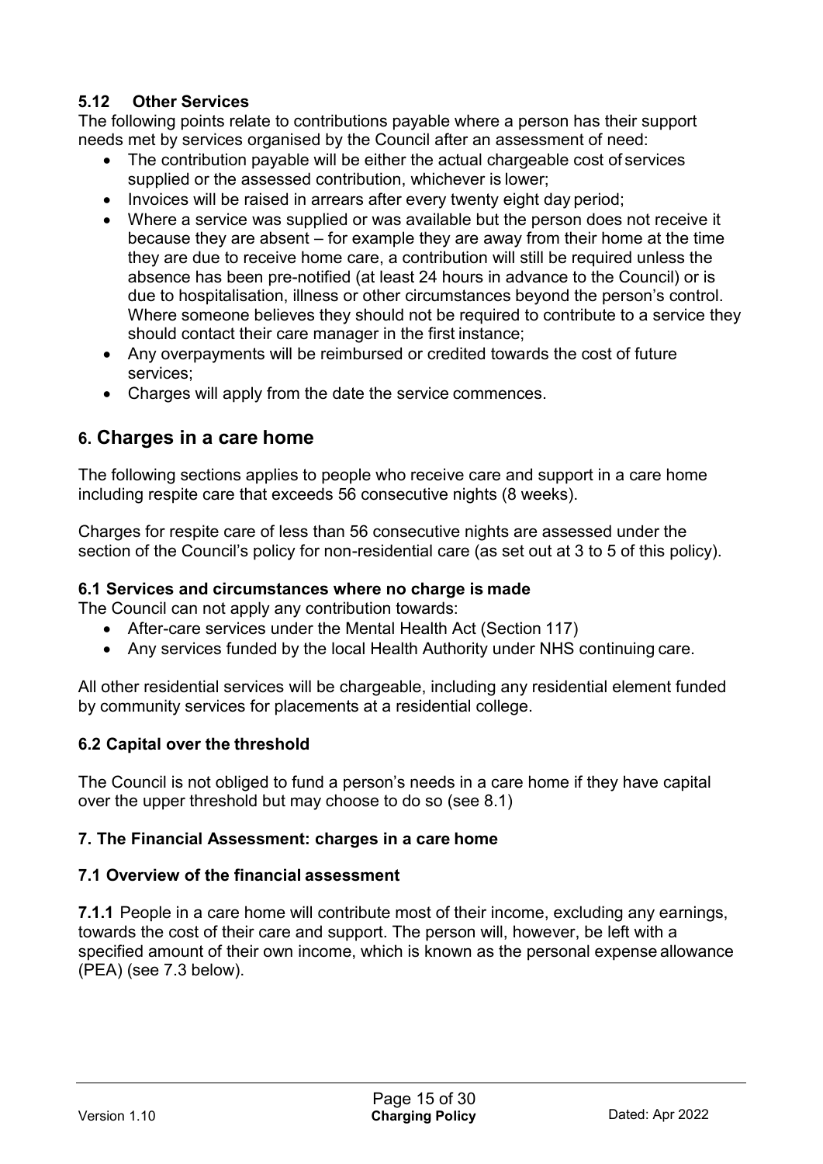## **5.12 Other Services**

The following points relate to contributions payable where a person has their support needs met by services organised by the Council after an assessment of need:

- The contribution payable will be either the actual chargeable cost of services supplied or the assessed contribution, whichever is lower;
- Invoices will be raised in arrears after every twenty eight day period;
- Where a service was supplied or was available but the person does not receive it because they are absent – for example they are away from their home at the time they are due to receive home care, a contribution will still be required unless the absence has been pre-notified (at least 24 hours in advance to the Council) or is due to hospitalisation, illness or other circumstances beyond the person's control. Where someone believes they should not be required to contribute to a service they should contact their care manager in the first instance;
- Any overpayments will be reimbursed or credited towards the cost of future services;
- Charges will apply from the date the service commences.

## **6. Charges in a care home**

The following sections applies to people who receive care and support in a care home including respite care that exceeds 56 consecutive nights (8 weeks).

Charges for respite care of less than 56 consecutive nights are assessed under the section of the Council's policy for non-residential care (as set out at 3 to 5 of this policy).

#### **6.1 Services and circumstances where no charge is made**

The Council can not apply any contribution towards:

- After-care services under the Mental Health Act (Section 117)
- Any services funded by the local Health Authority under NHS continuing care.

All other residential services will be chargeable, including any residential element funded by community services for placements at a residential college.

#### **6.2 Capital over the threshold**

The Council is not obliged to fund a person's needs in a care home if they have capital over the upper threshold but may choose to do so (see 8.1)

#### **7. The Financial Assessment: charges in a care home**

#### **7.1 Overview of the financial assessment**

**7.1.1** People in a care home will contribute most of their income, excluding any earnings, towards the cost of their care and support. The person will, however, be left with a specified amount of their own income, which is known as the personal expense allowance (PEA) (see 7.3 below).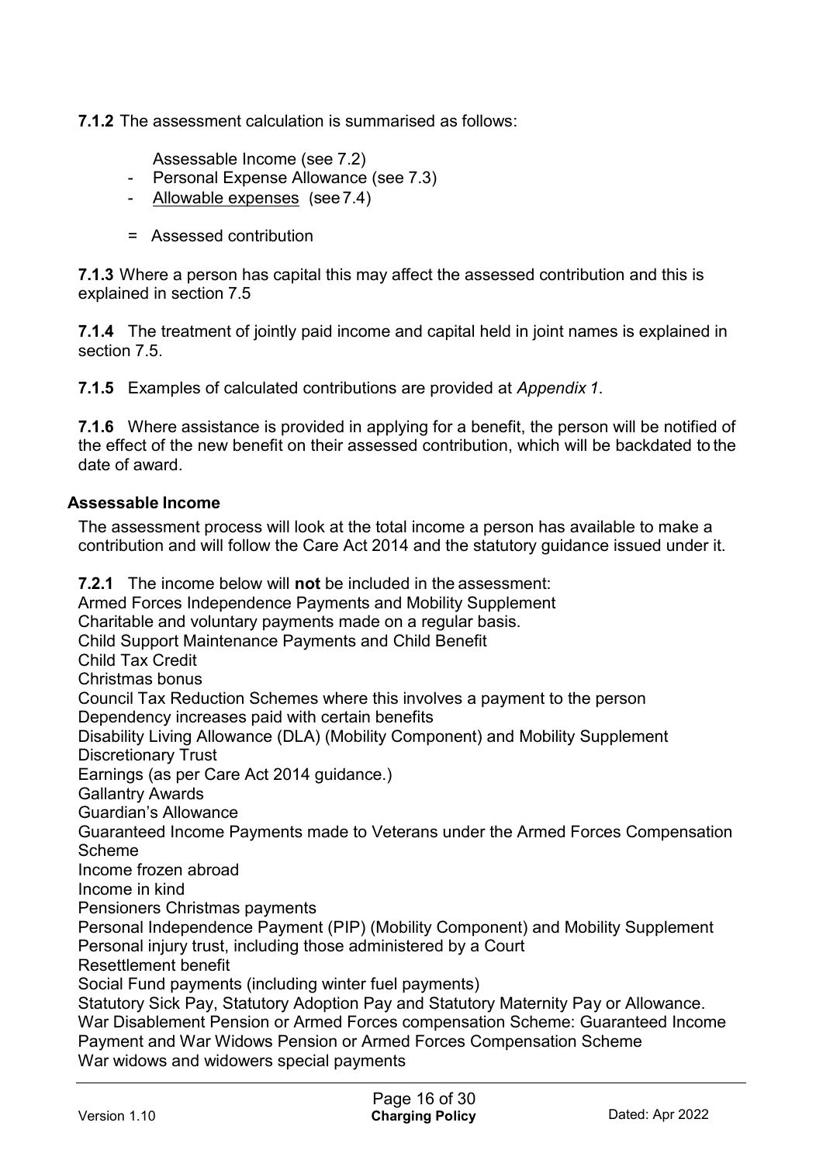**7.1.2** The assessment calculation is summarised as follows:

Assessable Income (see 7.2)

- Personal Expense Allowance (see 7.3)
- Allowable expenses (see7.4)
- = Assessed contribution

**7.1.3** Where a person has capital this may affect the assessed contribution and this is explained in section 7.5

**7.1.4** The treatment of jointly paid income and capital held in joint names is explained in section 7.5.

**7.1.5** Examples of calculated contributions are provided at *Appendix 1*.

**7.1.6** Where assistance is provided in applying for a benefit, the person will be notified of the effect of the new benefit on their assessed contribution, which will be backdated to the date of award.

#### **Assessable Income**

The assessment process will look at the total income a person has available to make a contribution and will follow the Care Act 2014 and the statutory guidance issued under it.

**7.2.1** The income below will **not** be included in the assessment: Armed Forces Independence Payments and Mobility Supplement Charitable and voluntary payments made on a regular basis. Child Support Maintenance Payments and Child Benefit Child Tax Credit Christmas bonus Council Tax Reduction Schemes where this involves a payment to the person Dependency increases paid with certain benefits Disability Living Allowance (DLA) (Mobility Component) and Mobility Supplement Discretionary Trust Earnings (as per Care Act 2014 guidance.) Gallantry Awards Guardian's Allowance Guaranteed Income Payments made to Veterans under the Armed Forces Compensation Scheme Income frozen abroad Income in kind Pensioners Christmas payments Personal Independence Payment (PIP) (Mobility Component) and Mobility Supplement Personal injury trust, including those administered by a Court Resettlement benefit Social Fund payments (including winter fuel payments) Statutory Sick Pay, Statutory Adoption Pay and Statutory Maternity Pay or Allowance. War Disablement Pension or Armed Forces compensation Scheme: Guaranteed Income Payment and War Widows Pension or Armed Forces Compensation Scheme War widows and widowers special payments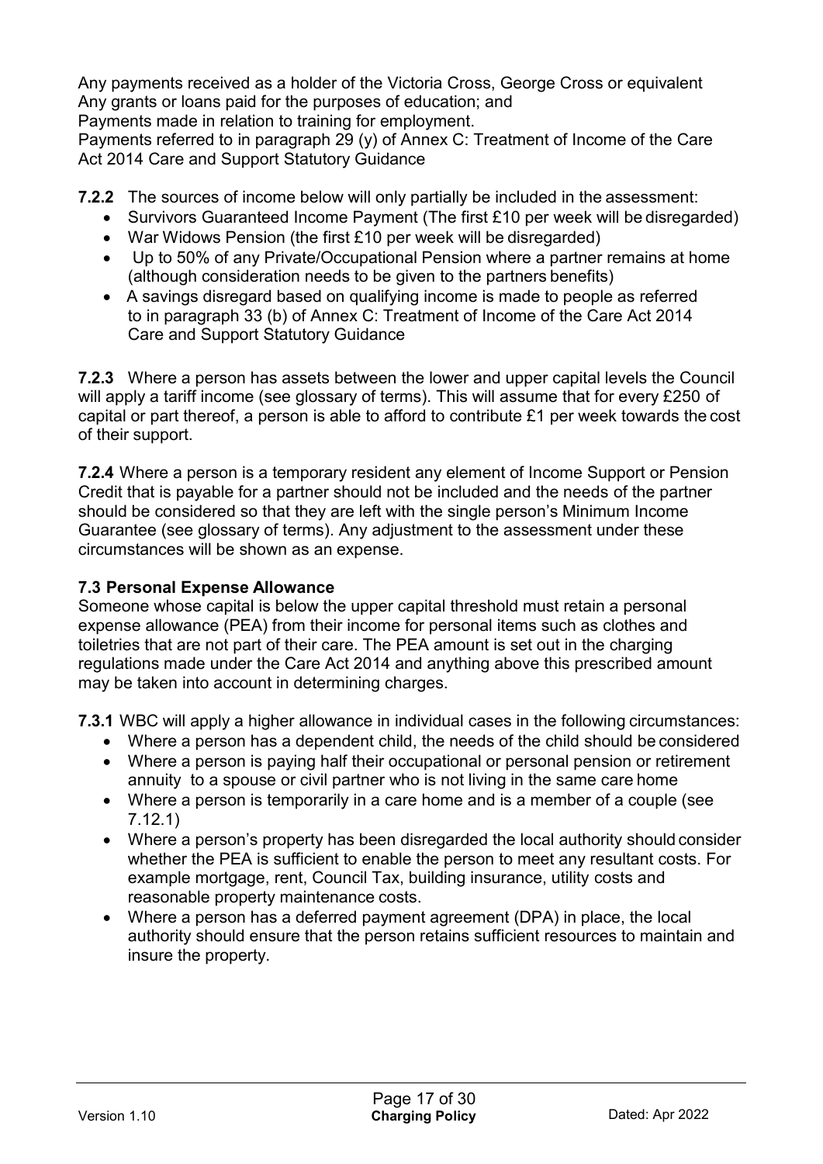Any payments received as a holder of the Victoria Cross, George Cross or equivalent Any grants or loans paid for the purposes of education; and Payments made in relation to training for employment.

Payments referred to in paragraph 29 (y) of Annex C: Treatment of Income of the Care Act 2014 Care and Support Statutory Guidance

**7.2.2** The sources of income below will only partially be included in the assessment:

- Survivors Guaranteed Income Payment (The first £10 per week will be disregarded)
- War Widows Pension (the first £10 per week will be disregarded)
- Up to 50% of any Private/Occupational Pension where a partner remains at home (although consideration needs to be given to the partners benefits)
- A savings disregard based on qualifying income is made to people as referred to in paragraph 33 (b) of Annex C: Treatment of Income of the Care Act 2014 Care and Support Statutory Guidance

**7.2.3** Where a person has assets between the lower and upper capital levels the Council will apply a tariff income (see glossary of terms). This will assume that for every £250 of capital or part thereof, a person is able to afford to contribute £1 per week towards the cost of their support.

**7.2.4** Where a person is a temporary resident any element of Income Support or Pension Credit that is payable for a partner should not be included and the needs of the partner should be considered so that they are left with the single person's Minimum Income Guarantee (see glossary of terms). Any adjustment to the assessment under these circumstances will be shown as an expense.

#### **7.3 Personal Expense Allowance**

Someone whose capital is below the upper capital threshold must retain a personal expense allowance (PEA) from their income for personal items such as clothes and toiletries that are not part of their care. The PEA amount is set out in the charging regulations made under the Care Act 2014 and anything above this prescribed amount may be taken into account in determining charges.

**7.3.1** WBC will apply a higher allowance in individual cases in the following circumstances:

- Where a person has a dependent child, the needs of the child should be considered
- Where a person is paying half their occupational or personal pension or retirement annuity to a spouse or civil partner who is not living in the same care home
- Where a person is temporarily in a care home and is a member of a couple (see 7.12.1)
- Where a person's property has been disregarded the local authority should consider whether the PEA is sufficient to enable the person to meet any resultant costs. For example mortgage, rent, Council Tax, building insurance, utility costs and reasonable property maintenance costs.
- Where a person has a deferred payment agreement (DPA) in place, the local authority should ensure that the person retains sufficient resources to maintain and insure the property.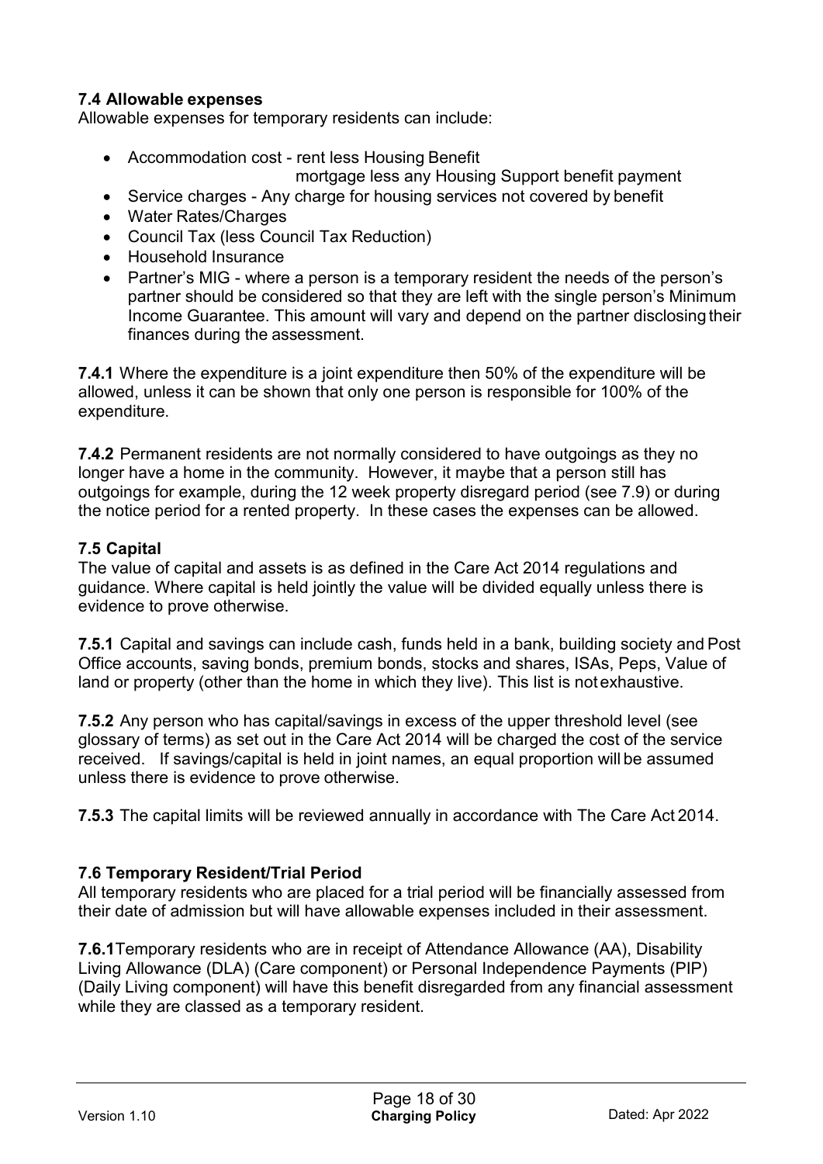#### **7.4 Allowable expenses**

Allowable expenses for temporary residents can include:

- Accommodation cost rent less Housing Benefit
	- mortgage less any Housing Support benefit payment
- Service charges Any charge for housing services not covered by benefit
- Water Rates/Charges
- Council Tax (less Council Tax Reduction)
- Household Insurance
- Partner's MIG where a person is a temporary resident the needs of the person's partner should be considered so that they are left with the single person's Minimum Income Guarantee. This amount will vary and depend on the partner disclosing their finances during the assessment.

**7.4.1** Where the expenditure is a joint expenditure then 50% of the expenditure will be allowed, unless it can be shown that only one person is responsible for 100% of the expenditure.

**7.4.2** Permanent residents are not normally considered to have outgoings as they no longer have a home in the community. However, it maybe that a person still has outgoings for example, during the 12 week property disregard period (see 7.9) or during the notice period for a rented property. In these cases the expenses can be allowed.

## **7.5 Capital**

The value of capital and assets is as defined in the Care Act 2014 regulations and guidance. Where capital is held jointly the value will be divided equally unless there is evidence to prove otherwise.

**7.5.1** Capital and savings can include cash, funds held in a bank, building society and Post Office accounts, saving bonds, premium bonds, stocks and shares, ISAs, Peps, Value of land or property (other than the home in which they live). This list is notexhaustive.

**7.5.2** Any person who has capital/savings in excess of the upper threshold level (see glossary of terms) as set out in the Care Act 2014 will be charged the cost of the service received. If savings/capital is held in joint names, an equal proportion will be assumed unless there is evidence to prove otherwise.

**7.5.3** The capital limits will be reviewed annually in accordance with The Care Act 2014.

#### **7.6 Temporary Resident/Trial Period**

All temporary residents who are placed for a trial period will be financially assessed from their date of admission but will have allowable expenses included in their assessment.

**7.6.1**Temporary residents who are in receipt of Attendance Allowance (AA), Disability Living Allowance (DLA) (Care component) or Personal Independence Payments (PIP) (Daily Living component) will have this benefit disregarded from any financial assessment while they are classed as a temporary resident.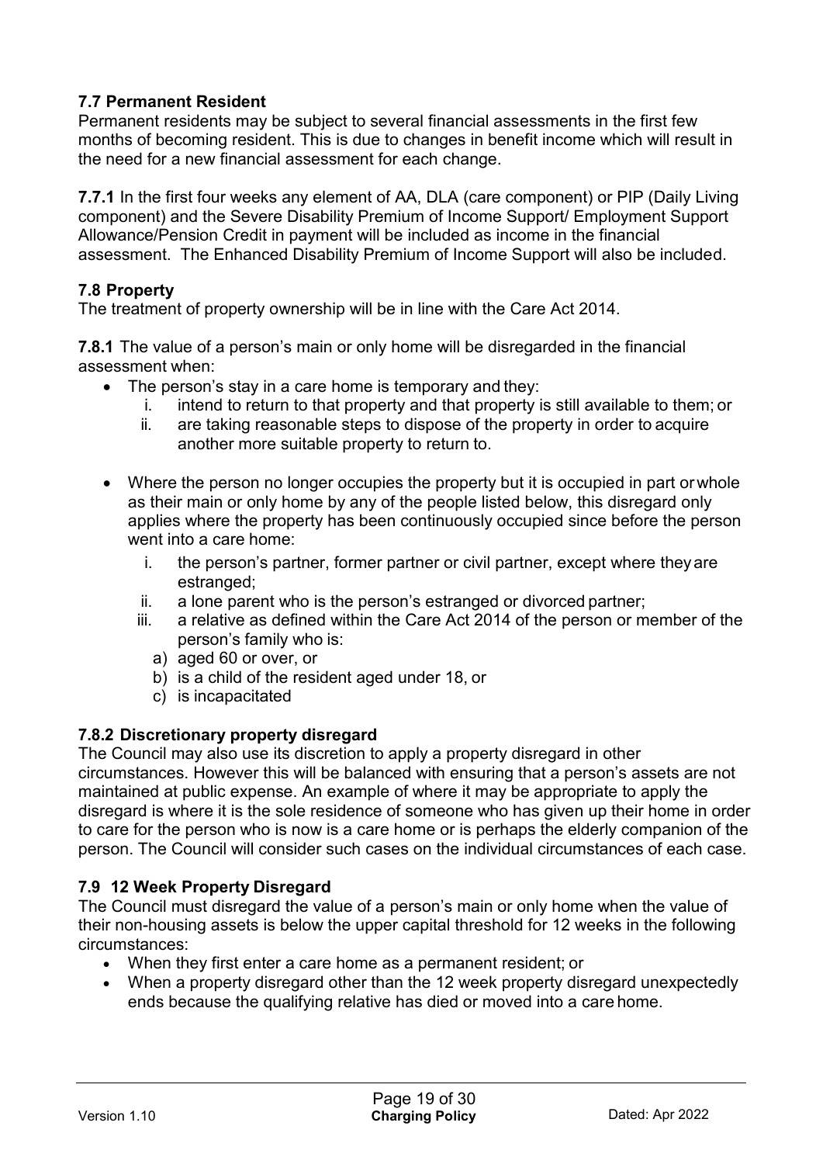## **7.7 Permanent Resident**

Permanent residents may be subject to several financial assessments in the first few months of becoming resident. This is due to changes in benefit income which will result in the need for a new financial assessment for each change.

**7.7.1** In the first four weeks any element of AA, DLA (care component) or PIP (Daily Living component) and the Severe Disability Premium of Income Support/ Employment Support Allowance/Pension Credit in payment will be included as income in the financial assessment. The Enhanced Disability Premium of Income Support will also be included.

#### **7.8 Property**

The treatment of property ownership will be in line with the Care Act 2014.

**7.8.1** The value of a person's main or only home will be disregarded in the financial assessment when:

- The person's stay in a care home is temporary and they:
	- i. intend to return to that property and that property is still available to them; or
	- ii. are taking reasonable steps to dispose of the property in order to acquire another more suitable property to return to.
- Where the person no longer occupies the property but it is occupied in part or whole as their main or only home by any of the people listed below, this disregard only applies where the property has been continuously occupied since before the person went into a care home:
	- i. the person's partner, former partner or civil partner, except where theyare estranged:
	- ii. a lone parent who is the person's estranged or divorced partner;
	- iii. a relative as defined within the Care Act 2014 of the person or member of the person's family who is:
		- a) aged 60 or over, or
		- b) is a child of the resident aged under 18, or
		- c) is incapacitated

#### **7.8.2 Discretionary property disregard**

The Council may also use its discretion to apply a property disregard in other circumstances. However this will be balanced with ensuring that a person's assets are not maintained at public expense. An example of where it may be appropriate to apply the disregard is where it is the sole residence of someone who has given up their home in order to care for the person who is now is a care home or is perhaps the elderly companion of the person. The Council will consider such cases on the individual circumstances of each case.

#### **7.9 12 Week Property Disregard**

The Council must disregard the value of a person's main or only home when the value of their non-housing assets is below the upper capital threshold for 12 weeks in the following circumstances:

- When they first enter a care home as a permanent resident; or
- When a property disregard other than the 12 week property disregard unexpectedly ends because the qualifying relative has died or moved into a care home.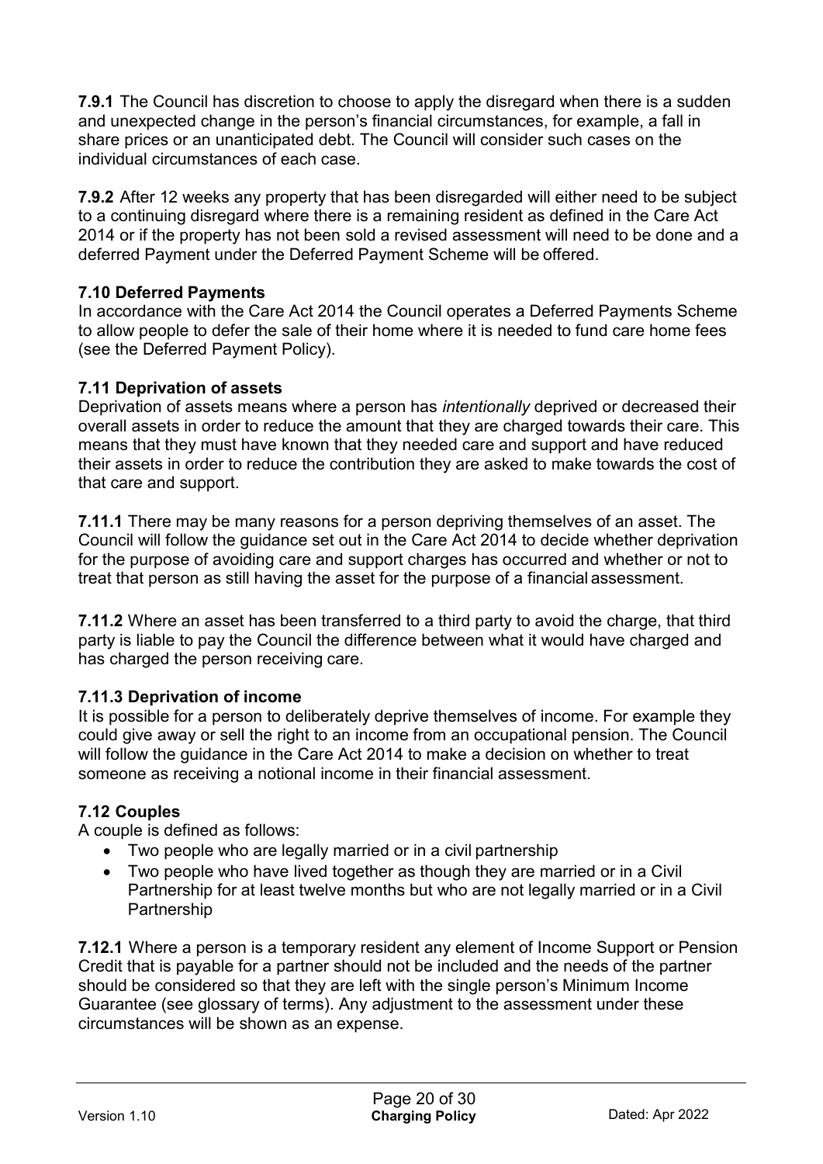**7.9.1** The Council has discretion to choose to apply the disregard when there is a sudden and unexpected change in the person's financial circumstances, for example, a fall in share prices or an unanticipated debt. The Council will consider such cases on the individual circumstances of each case.

**7.9.2** After 12 weeks any property that has been disregarded will either need to be subject to a continuing disregard where there is a remaining resident as defined in the Care Act 2014 or if the property has not been sold a revised assessment will need to be done and a deferred Payment under the Deferred Payment Scheme will be offered.

#### **7.10 Deferred Payments**

In accordance with the Care Act 2014 the Council operates a Deferred Payments Scheme to allow people to defer the sale of their home where it is needed to fund care home fees (see the Deferred Payment Policy).

#### **7.11 Deprivation of assets**

Deprivation of assets means where a person has *intentionally* deprived or decreased their overall assets in order to reduce the amount that they are charged towards their care. This means that they must have known that they needed care and support and have reduced their assets in order to reduce the contribution they are asked to make towards the cost of that care and support.

**7.11.1** There may be many reasons for a person depriving themselves of an asset. The Council will follow the guidance set out in the Care Act 2014 to decide whether deprivation for the purpose of avoiding care and support charges has occurred and whether or not to treat that person as still having the asset for the purpose of a financial assessment.

**7.11.2** Where an asset has been transferred to a third party to avoid the charge, that third party is liable to pay the Council the difference between what it would have charged and has charged the person receiving care.

#### **7.11.3 Deprivation of income**

It is possible for a person to deliberately deprive themselves of income. For example they could give away or sell the right to an income from an occupational pension. The Council will follow the guidance in the Care Act 2014 to make a decision on whether to treat someone as receiving a notional income in their financial assessment.

#### **7.12 Couples**

A couple is defined as follows:

- Two people who are legally married or in a civil partnership
- Two people who have lived together as though they are married or in a Civil Partnership for at least twelve months but who are not legally married or in a Civil Partnership

**7.12.1** Where a person is a temporary resident any element of Income Support or Pension Credit that is payable for a partner should not be included and the needs of the partner should be considered so that they are left with the single person's Minimum Income Guarantee (see glossary of terms). Any adjustment to the assessment under these circumstances will be shown as an expense.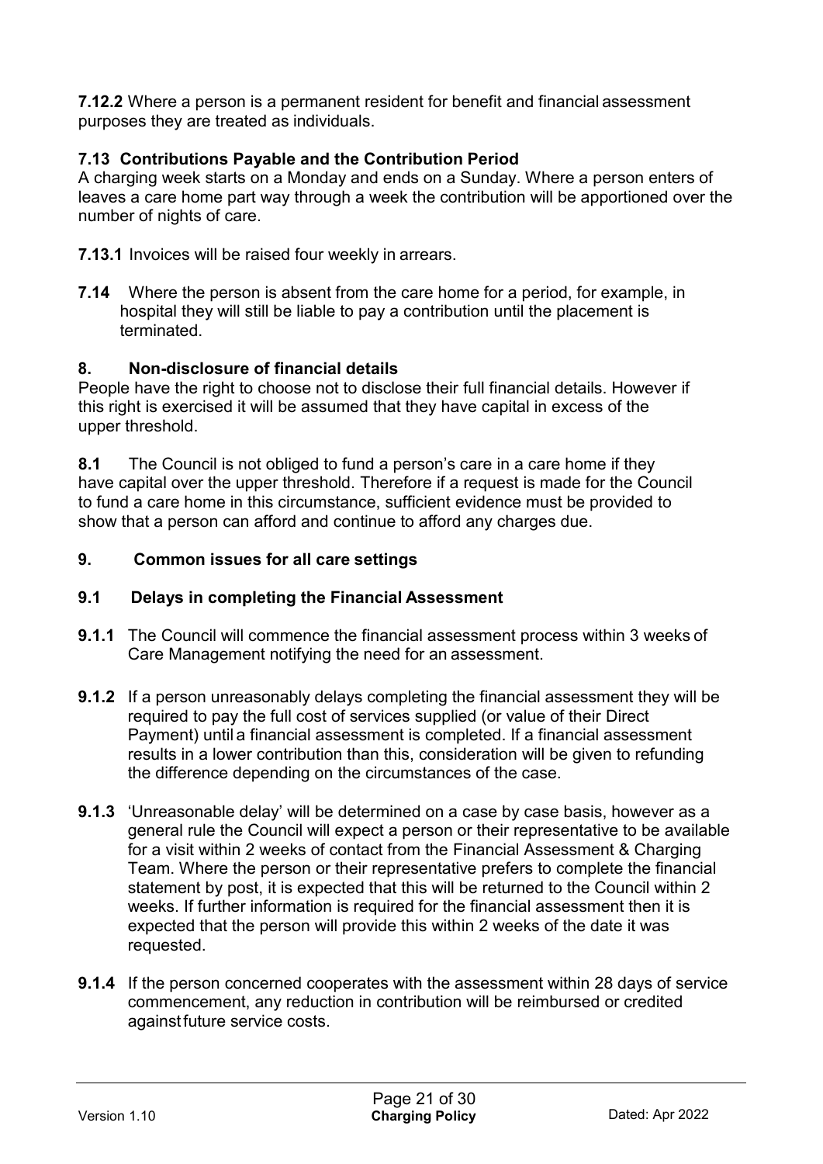**7.12.2** Where a person is a permanent resident for benefit and financial assessment purposes they are treated as individuals.

## **7.13 Contributions Payable and the Contribution Period**

A charging week starts on a Monday and ends on a Sunday. Where a person enters of leaves a care home part way through a week the contribution will be apportioned over the number of nights of care.

**7.13.1** Invoices will be raised four weekly in arrears.

**7.14** Where the person is absent from the care home for a period, for example, in hospital they will still be liable to pay a contribution until the placement is terminated.

#### **8. Non-disclosure of financial details**

People have the right to choose not to disclose their full financial details. However if this right is exercised it will be assumed that they have capital in excess of the upper threshold.

**8.1** The Council is not obliged to fund a person's care in a care home if they have capital over the upper threshold. Therefore if a request is made for the Council to fund a care home in this circumstance, sufficient evidence must be provided to show that a person can afford and continue to afford any charges due.

#### **9. Common issues for all care settings**

#### **9.1 Delays in completing the Financial Assessment**

- **9.1.1** The Council will commence the financial assessment process within 3 weeks of Care Management notifying the need for an assessment.
- **9.1.2** If a person unreasonably delays completing the financial assessment they will be required to pay the full cost of services supplied (or value of their Direct Payment) until a financial assessment is completed. If a financial assessment results in a lower contribution than this, consideration will be given to refunding the difference depending on the circumstances of the case.
- **9.1.3** 'Unreasonable delay' will be determined on a case by case basis, however as a general rule the Council will expect a person or their representative to be available for a visit within 2 weeks of contact from the Financial Assessment & Charging Team. Where the person or their representative prefers to complete the financial statement by post, it is expected that this will be returned to the Council within 2 weeks. If further information is required for the financial assessment then it is expected that the person will provide this within 2 weeks of the date it was requested.
- **9.1.4** If the person concerned cooperates with the assessment within 28 days of service commencement, any reduction in contribution will be reimbursed or credited againstfuture service costs.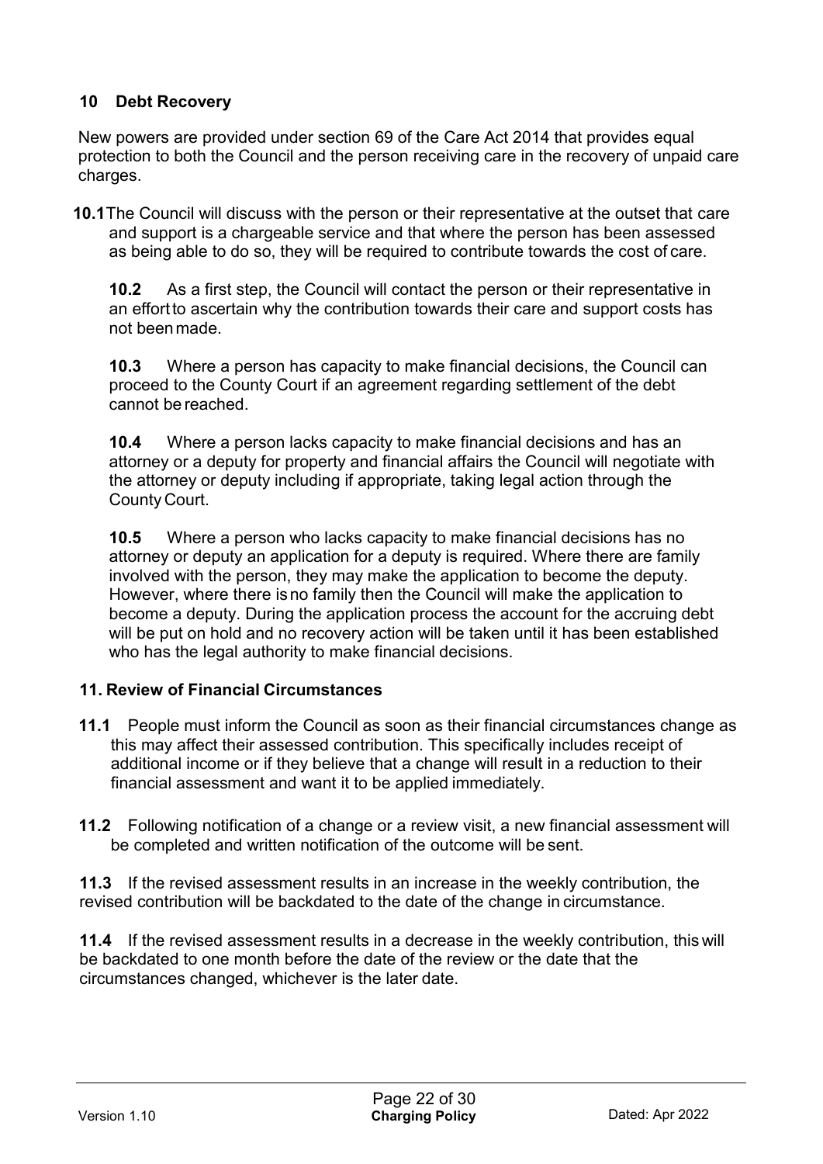## **10 Debt Recovery**

New powers are provided under section 69 of the Care Act 2014 that provides equal protection to both the Council and the person receiving care in the recovery of unpaid care charges.

**10.1**The Council will discuss with the person or their representative at the outset that care and support is a chargeable service and that where the person has been assessed as being able to do so, they will be required to contribute towards the cost of care.

**10.2** As a first step, the Council will contact the person or their representative in an effort to ascertain why the contribution towards their care and support costs has not beenmade.

**10.3** Where a person has capacity to make financial decisions, the Council can proceed to the County Court if an agreement regarding settlement of the debt cannot be reached.

**10.4** Where a person lacks capacity to make financial decisions and has an attorney or a deputy for property and financial affairs the Council will negotiate with the attorney or deputy including if appropriate, taking legal action through the County Court.

**10.5** Where a person who lacks capacity to make financial decisions has no attorney or deputy an application for a deputy is required. Where there are family involved with the person, they may make the application to become the deputy. However, where there isno family then the Council will make the application to become a deputy. During the application process the account for the accruing debt will be put on hold and no recovery action will be taken until it has been established who has the legal authority to make financial decisions.

#### **11. Review of Financial Circumstances**

- **11.1** People must inform the Council as soon as their financial circumstances change as this may affect their assessed contribution. This specifically includes receipt of additional income or if they believe that a change will result in a reduction to their financial assessment and want it to be applied immediately.
- **11.2** Following notification of a change or a review visit, a new financial assessment will be completed and written notification of the outcome will be sent.

**11.3** If the revised assessment results in an increase in the weekly contribution, the revised contribution will be backdated to the date of the change in circumstance.

**11.4** If the revised assessment results in a decrease in the weekly contribution, this will be backdated to one month before the date of the review or the date that the circumstances changed, whichever is the later date.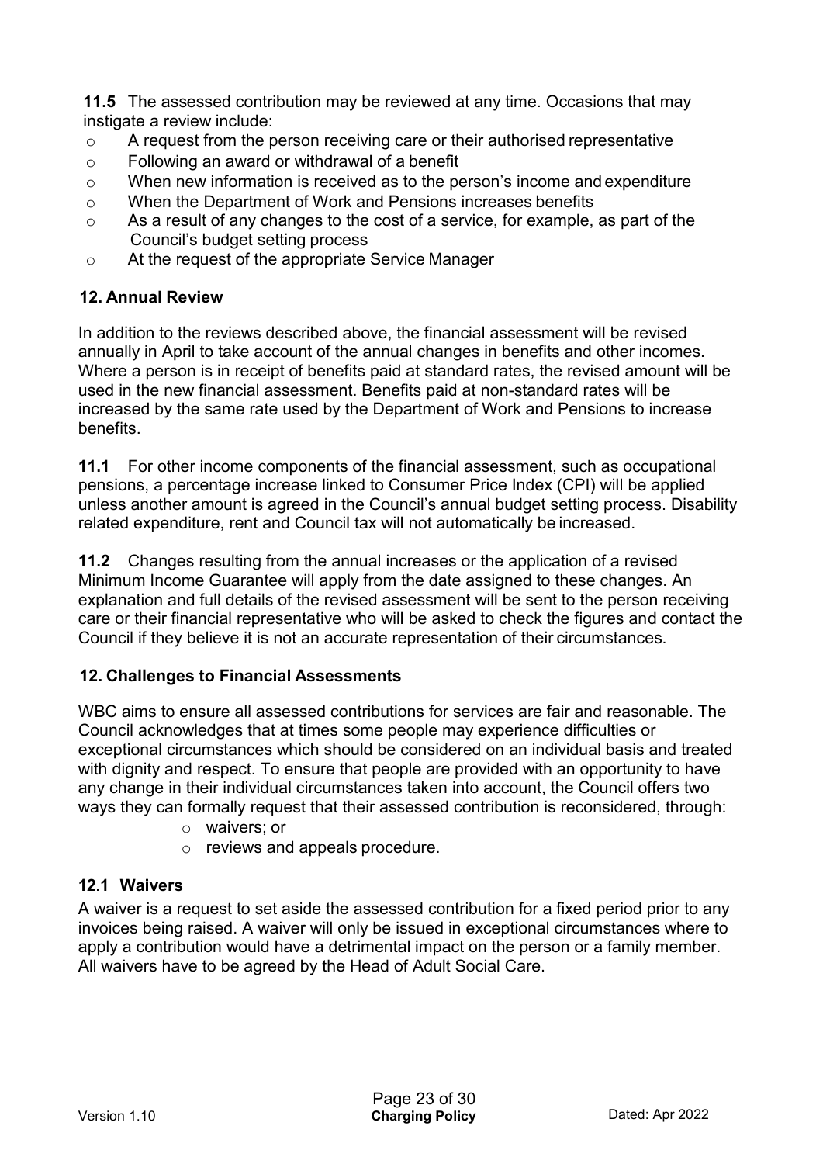**11.5** The assessed contribution may be reviewed at any time. Occasions that may instigate a review include:

- o A request from the person receiving care or their authorised representative
- o Following an award or withdrawal of a benefit
- o When new information is received as to the person's income and expenditure
- o When the Department of Work and Pensions increases benefits
- o As a result of any changes to the cost of a service, for example, as part of the Council's budget setting process
- o At the request of the appropriate Service Manager

## **12. Annual Review**

In addition to the reviews described above, the financial assessment will be revised annually in April to take account of the annual changes in benefits and other incomes. Where a person is in receipt of benefits paid at standard rates, the revised amount will be used in the new financial assessment. Benefits paid at non-standard rates will be increased by the same rate used by the Department of Work and Pensions to increase benefits.

**11.1** For other income components of the financial assessment, such as occupational pensions, a percentage increase linked to Consumer Price Index (CPI) will be applied unless another amount is agreed in the Council's annual budget setting process. Disability related expenditure, rent and Council tax will not automatically be increased.

**11.2** Changes resulting from the annual increases or the application of a revised Minimum Income Guarantee will apply from the date assigned to these changes. An explanation and full details of the revised assessment will be sent to the person receiving care or their financial representative who will be asked to check the figures and contact the Council if they believe it is not an accurate representation of their circumstances.

## **12. Challenges to Financial Assessments**

WBC aims to ensure all assessed contributions for services are fair and reasonable. The Council acknowledges that at times some people may experience difficulties or exceptional circumstances which should be considered on an individual basis and treated with dignity and respect. To ensure that people are provided with an opportunity to have any change in their individual circumstances taken into account, the Council offers two ways they can formally request that their assessed contribution is reconsidered, through:

- o waivers; or
- o reviews and appeals procedure.

## **12.1 Waivers**

A waiver is a request to set aside the assessed contribution for a fixed period prior to any invoices being raised. A waiver will only be issued in exceptional circumstances where to apply a contribution would have a detrimental impact on the person or a family member. All waivers have to be agreed by the Head of Adult Social Care.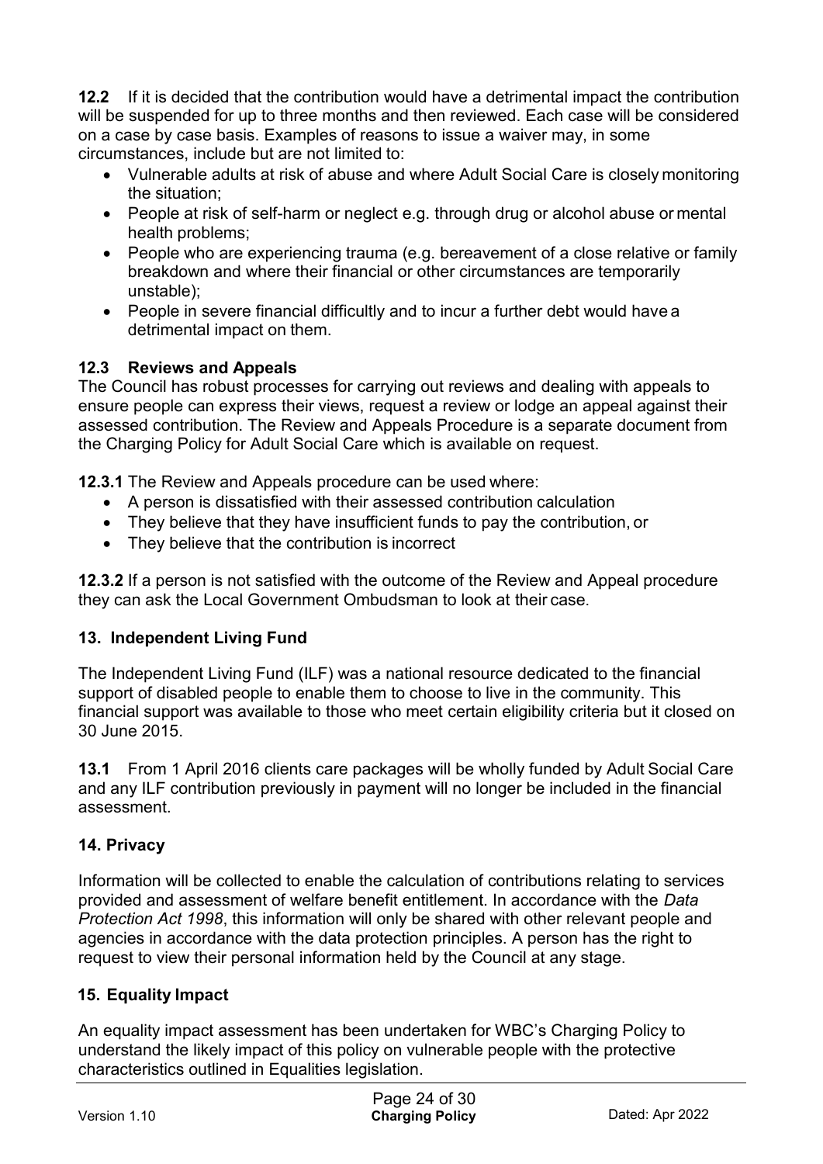**12.2** If it is decided that the contribution would have a detrimental impact the contribution will be suspended for up to three months and then reviewed. Each case will be considered on a case by case basis. Examples of reasons to issue a waiver may, in some circumstances, include but are not limited to:

- Vulnerable adults at risk of abuse and where Adult Social Care is closely monitoring the situation;
- People at risk of self-harm or neglect e.g. through drug or alcohol abuse or mental health problems;
- People who are experiencing trauma (e.g. bereavement of a close relative or family breakdown and where their financial or other circumstances are temporarily unstable);
- People in severe financial difficultly and to incur a further debt would have a detrimental impact on them.

## **12.3 Reviews and Appeals**

The Council has robust processes for carrying out reviews and dealing with appeals to ensure people can express their views, request a review or lodge an appeal against their assessed contribution. The Review and Appeals Procedure is a separate document from the Charging Policy for Adult Social Care which is available on request.

**12.3.1** The Review and Appeals procedure can be used where:

- A person is dissatisfied with their assessed contribution calculation
- They believe that they have insufficient funds to pay the contribution, or
- They believe that the contribution is incorrect

**12.3.2** If a person is not satisfied with the outcome of the Review and Appeal procedure they can ask the Local Government Ombudsman to look at their case.

#### **13. Independent Living Fund**

The Independent Living Fund (ILF) was a national resource dedicated to the financial support of disabled people to enable them to choose to live in the community. This financial support was available to those who meet certain eligibility criteria but it closed on 30 June 2015.

**13.1** From 1 April 2016 clients care packages will be wholly funded by Adult Social Care and any ILF contribution previously in payment will no longer be included in the financial assessment.

## **14. Privacy**

Information will be collected to enable the calculation of contributions relating to services provided and assessment of welfare benefit entitlement. In accordance with the *Data Protection Act 1998*, this information will only be shared with other relevant people and agencies in accordance with the data protection principles. A person has the right to request to view their personal information held by the Council at any stage.

#### **15. Equality Impact**

An equality impact assessment has been undertaken for WBC's Charging Policy to understand the likely impact of this policy on vulnerable people with the protective characteristics outlined in Equalities legislation.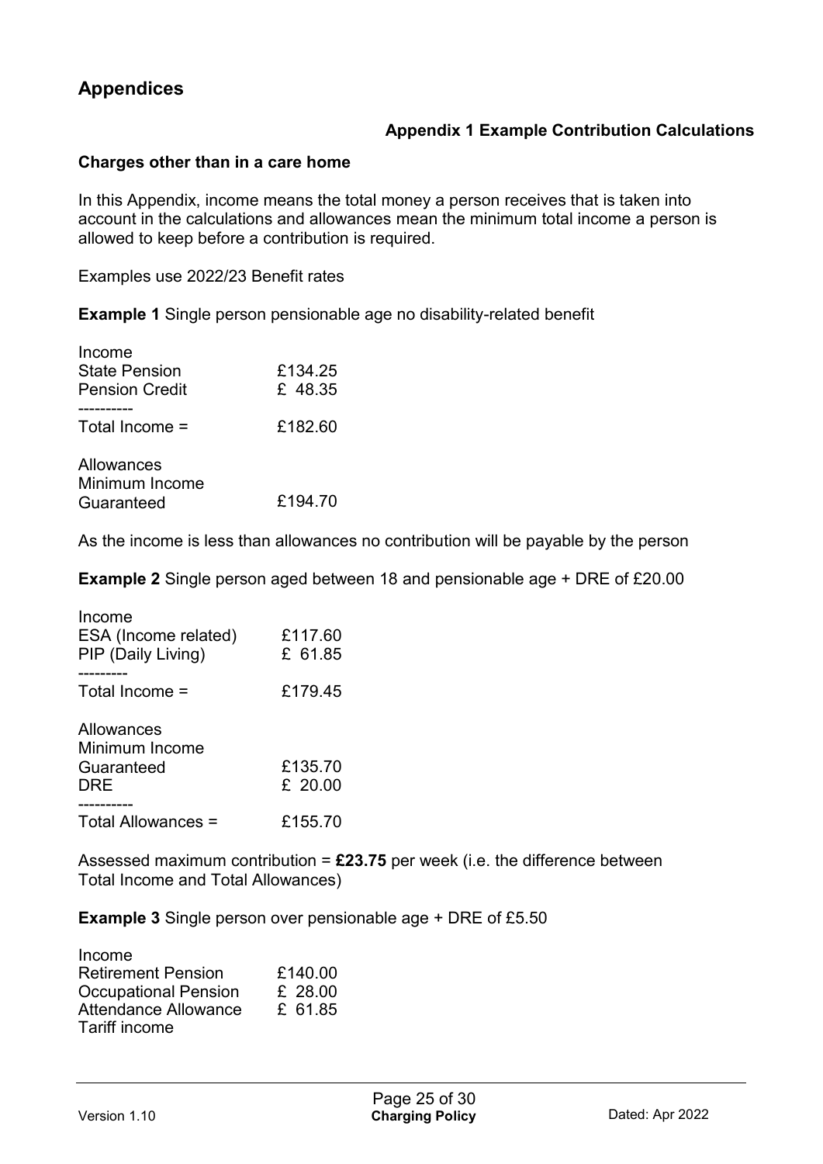## **Appendices**

#### **Appendix 1 Example Contribution Calculations**

#### **Charges other than in a care home**

In this Appendix, income means the total money a person receives that is taken into account in the calculations and allowances mean the minimum total income a person is allowed to keep before a contribution is required.

Examples use 2022/23 Benefit rates

**Example 1** Single person pensionable age no disability-related benefit

| Income<br><b>State Pension</b><br><b>Pension Credit</b> | £134.25<br>£ 48.35 |
|---------------------------------------------------------|--------------------|
| Total Income $=$                                        | £182.60            |
| Allowances<br>Minimum Income<br>Guaranteed              | £194.70            |

As the income is less than allowances no contribution will be payable by the person

**Example 2** Single person aged between 18 and pensionable age + DRE of £20.00

| Income<br>ESA (Income related)<br>PIP (Daily Living) | £117.60<br>£ 61.85   |
|------------------------------------------------------|----------------------|
| Total Income =                                       | £179.45              |
| Allowances<br>Minimum Income<br>Guaranteed<br>DRE    | £135.70<br>£ $20.00$ |
| Total Allowances =                                   | £155.70              |

Assessed maximum contribution = **£23.75** per week (i.e. the difference between Total Income and Total Allowances)

**Example 3** Single person over pensionable age + DRE of £5.50

| Income                      |         |
|-----------------------------|---------|
| <b>Retirement Pension</b>   | £140.00 |
| <b>Occupational Pension</b> | £ 28.00 |
| <b>Attendance Allowance</b> | £ 61.85 |
| Tariff income               |         |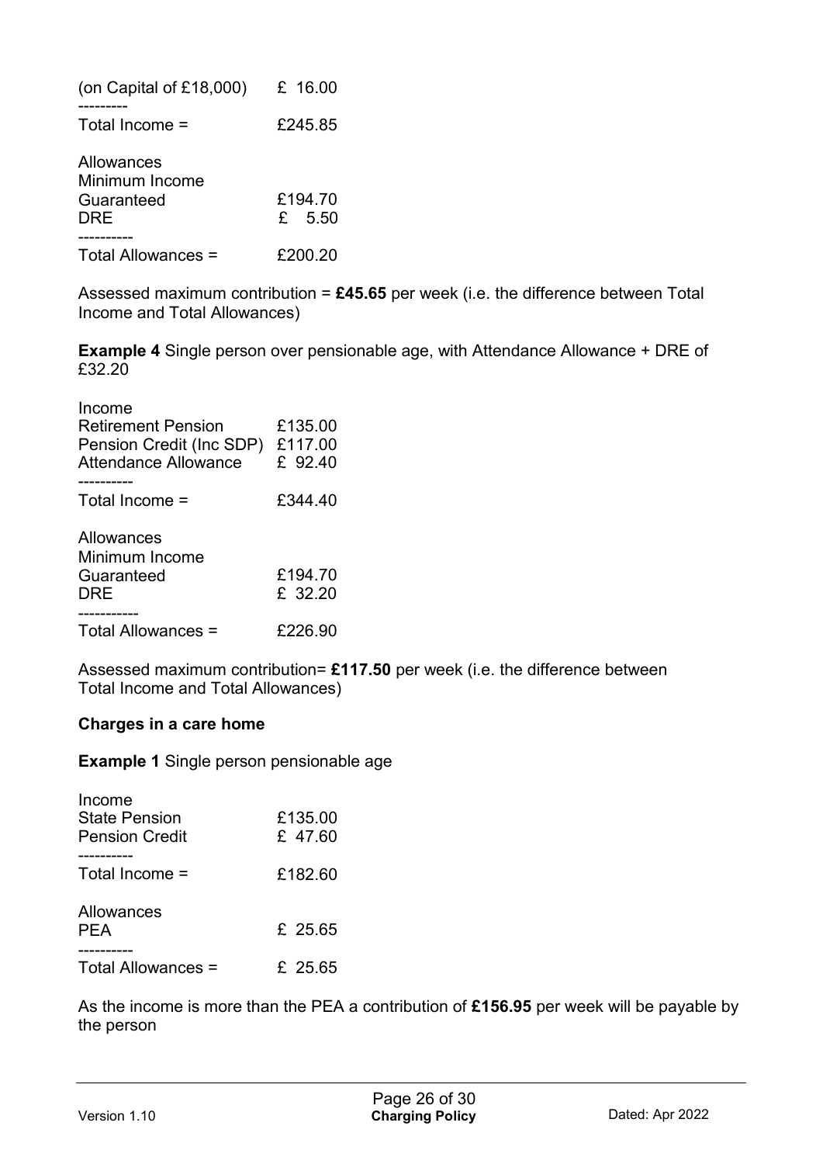| (on Capital of £18,000)                           | £ 16.00             |
|---------------------------------------------------|---------------------|
| Total Income $=$                                  | £245.85             |
| Allowances<br>Minimum Income<br>Guaranteed<br>DRE | £194.70<br>$f$ 5.50 |
| Total Allowances =                                | £200.20             |

Assessed maximum contribution = **£45.65** per week (i.e. the difference between Total Income and Total Allowances)

**Example 4** Single person over pensionable age, with Attendance Allowance + DRE of £32.20

| Income<br><b>Retirement Pension</b><br>Pension Credit (Inc SDP)<br>Attendance Allowance | £135.00<br>£117.00<br>£ 92.40 |
|-----------------------------------------------------------------------------------------|-------------------------------|
| Total Income $=$                                                                        | £344.40                       |
| Allowances<br>Minimum Income<br>Guaranteed<br>DRE                                       | £194.70<br>£ 32.20            |
| --------<br>Total Allowances =                                                          | £226.90                       |

Assessed maximum contribution= **£117.50** per week (i.e. the difference between Total Income and Total Allowances)

#### **Charges in a care home**

**Example 1** Single person pensionable age

| Income<br><b>State Pension</b><br><b>Pension Credit</b> | £135.00<br>£ 47.60 |
|---------------------------------------------------------|--------------------|
| Total Income $=$                                        | £182.60            |
| Allowances<br><b>PFA</b>                                | £ 25.65            |
| Total Allowances =                                      | £ 25.65            |

As the income is more than the PEA a contribution of **£156.95** per week will be payable by the person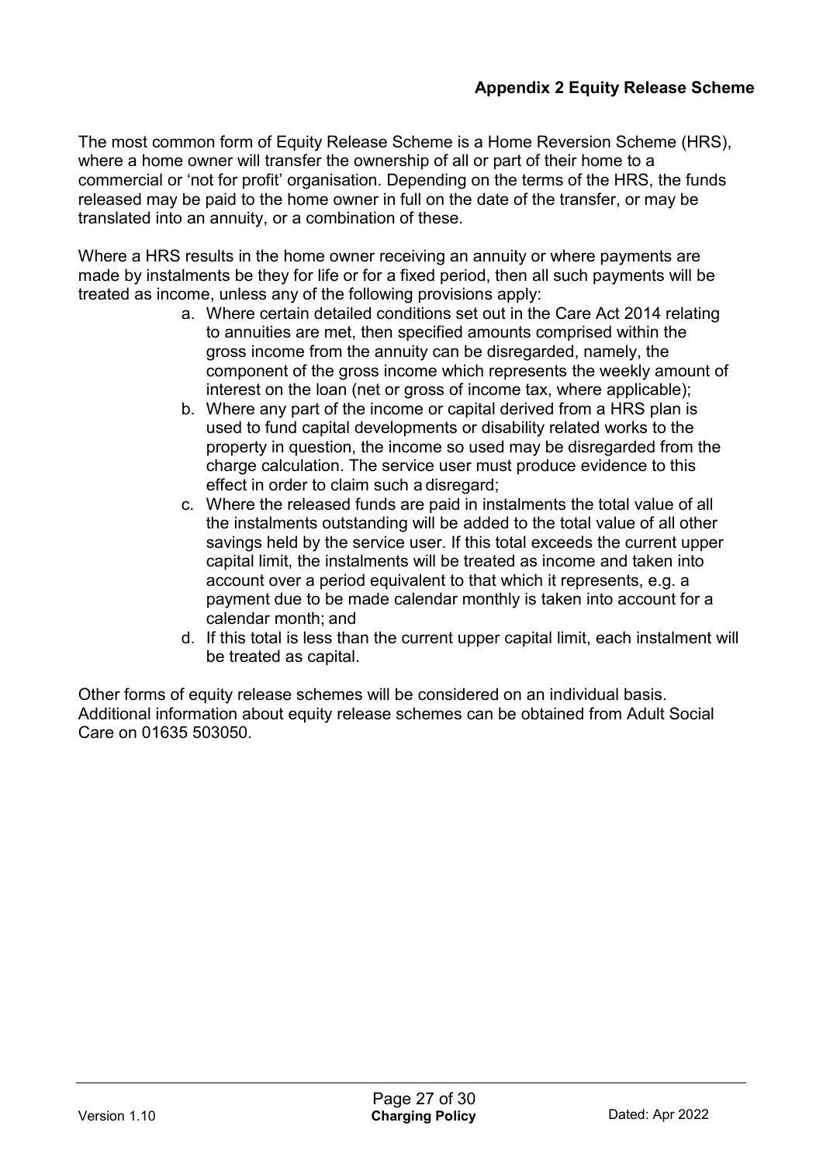The most common form of Equity Release Scheme is a Home Reversion Scheme (HRS), where a home owner will transfer the ownership of all or part of their home to a commercial or 'not for profit' organisation. Depending on the terms of the HRS, the funds released may be paid to the home owner in full on the date of the transfer, or may be translated into an annuity, or a combination of these.

Where a HRS results in the home owner receiving an annuity or where payments are made by instalments be they for life or for a fixed period, then all such payments will be treated as income, unless any of the following provisions apply:

- a. Where certain detailed conditions set out in the Care Act 2014 relating to annuities are met, then specified amounts comprised within the gross income from the annuity can be disregarded, namely, the component of the gross income which represents the weekly amount of interest on the loan (net or gross of income tax, where applicable);
- b. Where any part of the income or capital derived from a HRS plan is used to fund capital developments or disability related works to the property in question, the income so used may be disregarded from the charge calculation. The service user must produce evidence to this effect in order to claim such a disregard;
- c. Where the released funds are paid in instalments the total value of all the instalments outstanding will be added to the total value of all other savings held by the service user. If this total exceeds the current upper capital limit, the instalments will be treated as income and taken into account over a period equivalent to that which it represents, e.g. a payment due to be made calendar monthly is taken into account for a calendar month; and
- d. If this total is less than the current upper capital limit, each instalment will be treated as capital.

Other forms of equity release schemes will be considered on an individual basis. Additional information about equity release schemes can be obtained from Adult Social Care on 01635 503050.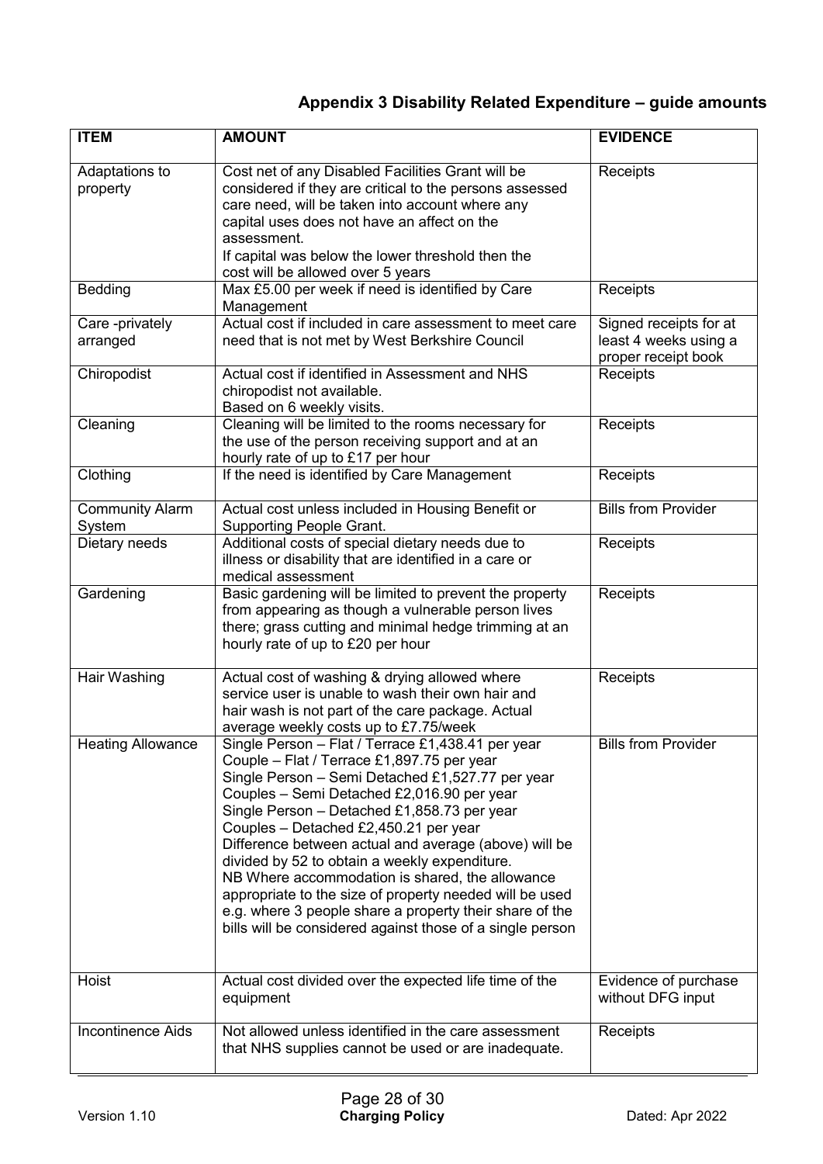## **Appendix 3 Disability Related Expenditure – guide amounts**

| <b>ITEM</b>                      | <b>AMOUNT</b>                                                                                                                                                                                                                                                                                                                                                                                                                                                                                                                                                                                                                             | <b>EVIDENCE</b>                                                        |
|----------------------------------|-------------------------------------------------------------------------------------------------------------------------------------------------------------------------------------------------------------------------------------------------------------------------------------------------------------------------------------------------------------------------------------------------------------------------------------------------------------------------------------------------------------------------------------------------------------------------------------------------------------------------------------------|------------------------------------------------------------------------|
| Adaptations to<br>property       | Cost net of any Disabled Facilities Grant will be<br>considered if they are critical to the persons assessed<br>care need, will be taken into account where any<br>capital uses does not have an affect on the<br>assessment.<br>If capital was below the lower threshold then the<br>cost will be allowed over 5 years                                                                                                                                                                                                                                                                                                                   | Receipts                                                               |
| <b>Bedding</b>                   | Max £5.00 per week if need is identified by Care<br>Management                                                                                                                                                                                                                                                                                                                                                                                                                                                                                                                                                                            | Receipts                                                               |
| Care -privately<br>arranged      | Actual cost if included in care assessment to meet care<br>need that is not met by West Berkshire Council                                                                                                                                                                                                                                                                                                                                                                                                                                                                                                                                 | Signed receipts for at<br>least 4 weeks using a<br>proper receipt book |
| Chiropodist                      | Actual cost if identified in Assessment and NHS<br>chiropodist not available.<br>Based on 6 weekly visits.                                                                                                                                                                                                                                                                                                                                                                                                                                                                                                                                | Receipts                                                               |
| Cleaning                         | Cleaning will be limited to the rooms necessary for<br>the use of the person receiving support and at an<br>hourly rate of up to £17 per hour                                                                                                                                                                                                                                                                                                                                                                                                                                                                                             | Receipts                                                               |
| Clothing                         | If the need is identified by Care Management                                                                                                                                                                                                                                                                                                                                                                                                                                                                                                                                                                                              | Receipts                                                               |
| <b>Community Alarm</b><br>System | Actual cost unless included in Housing Benefit or<br><b>Supporting People Grant.</b>                                                                                                                                                                                                                                                                                                                                                                                                                                                                                                                                                      | <b>Bills from Provider</b>                                             |
| Dietary needs                    | Additional costs of special dietary needs due to<br>illness or disability that are identified in a care or<br>medical assessment                                                                                                                                                                                                                                                                                                                                                                                                                                                                                                          | Receipts                                                               |
| Gardening                        | Basic gardening will be limited to prevent the property<br>from appearing as though a vulnerable person lives<br>there; grass cutting and minimal hedge trimming at an<br>hourly rate of up to £20 per hour                                                                                                                                                                                                                                                                                                                                                                                                                               | Receipts                                                               |
| Hair Washing                     | Actual cost of washing & drying allowed where<br>service user is unable to wash their own hair and<br>hair wash is not part of the care package. Actual<br>average weekly costs up to £7.75/week                                                                                                                                                                                                                                                                                                                                                                                                                                          | Receipts                                                               |
| <b>Heating Allowance</b>         | Single Person - Flat / Terrace £1,438.41 per year<br>Couple - Flat / Terrace £1,897.75 per year<br>Single Person - Semi Detached £1,527.77 per year<br>Couples - Semi Detached £2,016.90 per year<br>Single Person - Detached £1,858.73 per year<br>Couples - Detached £2,450.21 per year<br>Difference between actual and average (above) will be<br>divided by 52 to obtain a weekly expenditure.<br>NB Where accommodation is shared, the allowance<br>appropriate to the size of property needed will be used<br>e.g. where 3 people share a property their share of the<br>bills will be considered against those of a single person | <b>Bills from Provider</b>                                             |
| Hoist                            | Actual cost divided over the expected life time of the<br>equipment                                                                                                                                                                                                                                                                                                                                                                                                                                                                                                                                                                       | Evidence of purchase<br>without DFG input                              |
| <b>Incontinence Aids</b>         | Not allowed unless identified in the care assessment<br>that NHS supplies cannot be used or are inadequate.                                                                                                                                                                                                                                                                                                                                                                                                                                                                                                                               | Receipts                                                               |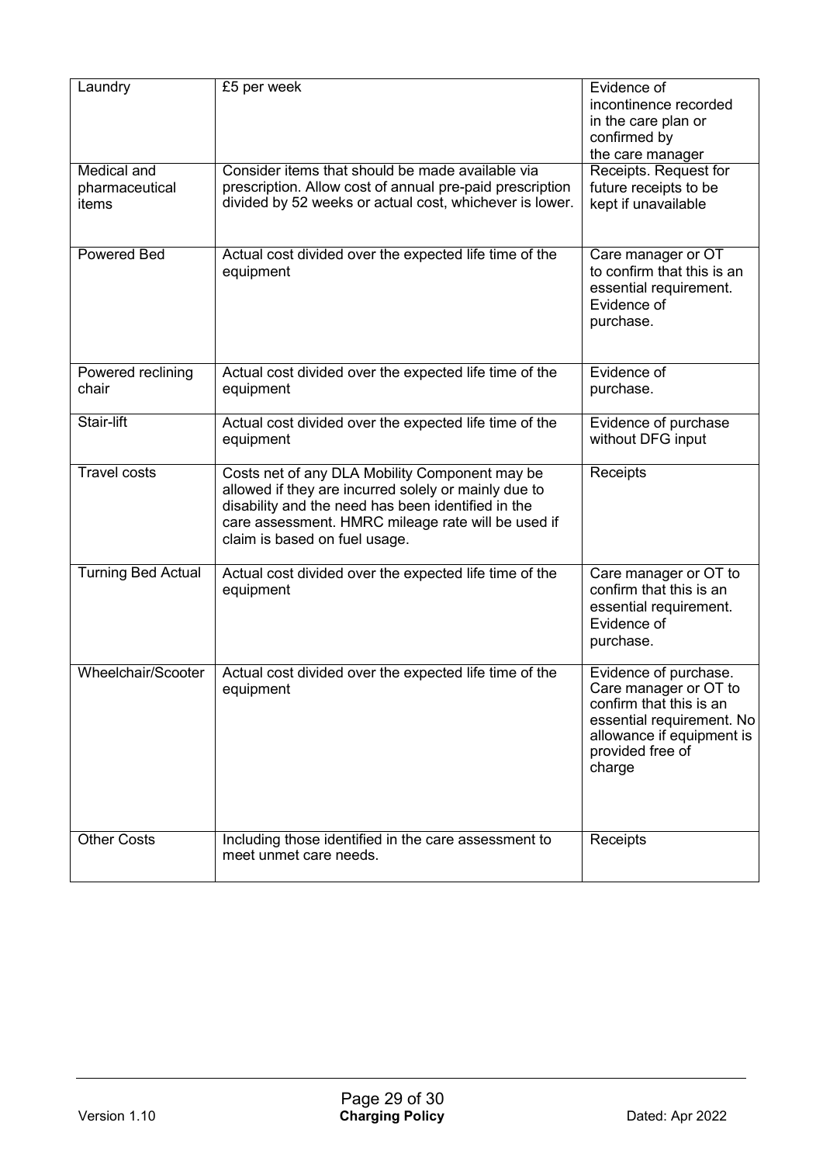| Laundry                                | £5 per week                                                                                                                                                                                                                                         | Evidence of<br>incontinence recorded<br>in the care plan or<br>confirmed by<br>the care manager                                                                   |
|----------------------------------------|-----------------------------------------------------------------------------------------------------------------------------------------------------------------------------------------------------------------------------------------------------|-------------------------------------------------------------------------------------------------------------------------------------------------------------------|
| Medical and<br>pharmaceutical<br>items | Consider items that should be made available via<br>prescription. Allow cost of annual pre-paid prescription<br>divided by 52 weeks or actual cost, whichever is lower.                                                                             | Receipts. Request for<br>future receipts to be<br>kept if unavailable                                                                                             |
| <b>Powered Bed</b>                     | Actual cost divided over the expected life time of the<br>equipment                                                                                                                                                                                 | Care manager or OT<br>to confirm that this is an<br>essential requirement.<br>Evidence of<br>purchase.                                                            |
| Powered reclining<br>chair             | Actual cost divided over the expected life time of the<br>equipment                                                                                                                                                                                 | Evidence of<br>purchase.                                                                                                                                          |
| Stair-lift                             | Actual cost divided over the expected life time of the<br>equipment                                                                                                                                                                                 | Evidence of purchase<br>without DFG input                                                                                                                         |
| <b>Travel costs</b>                    | Costs net of any DLA Mobility Component may be<br>allowed if they are incurred solely or mainly due to<br>disability and the need has been identified in the<br>care assessment. HMRC mileage rate will be used if<br>claim is based on fuel usage. | Receipts                                                                                                                                                          |
| <b>Turning Bed Actual</b>              | Actual cost divided over the expected life time of the<br>equipment                                                                                                                                                                                 | Care manager or OT to<br>confirm that this is an<br>essential requirement.<br>Evidence of<br>purchase.                                                            |
| <b>Wheelchair/Scooter</b>              | Actual cost divided over the expected life time of the<br>equipment                                                                                                                                                                                 | Evidence of purchase.<br>Care manager or OT to<br>confirm that this is an<br>essential requirement. No<br>allowance if equipment is<br>provided free of<br>charge |
| <b>Other Costs</b>                     | Including those identified in the care assessment to<br>meet unmet care needs.                                                                                                                                                                      | Receipts                                                                                                                                                          |